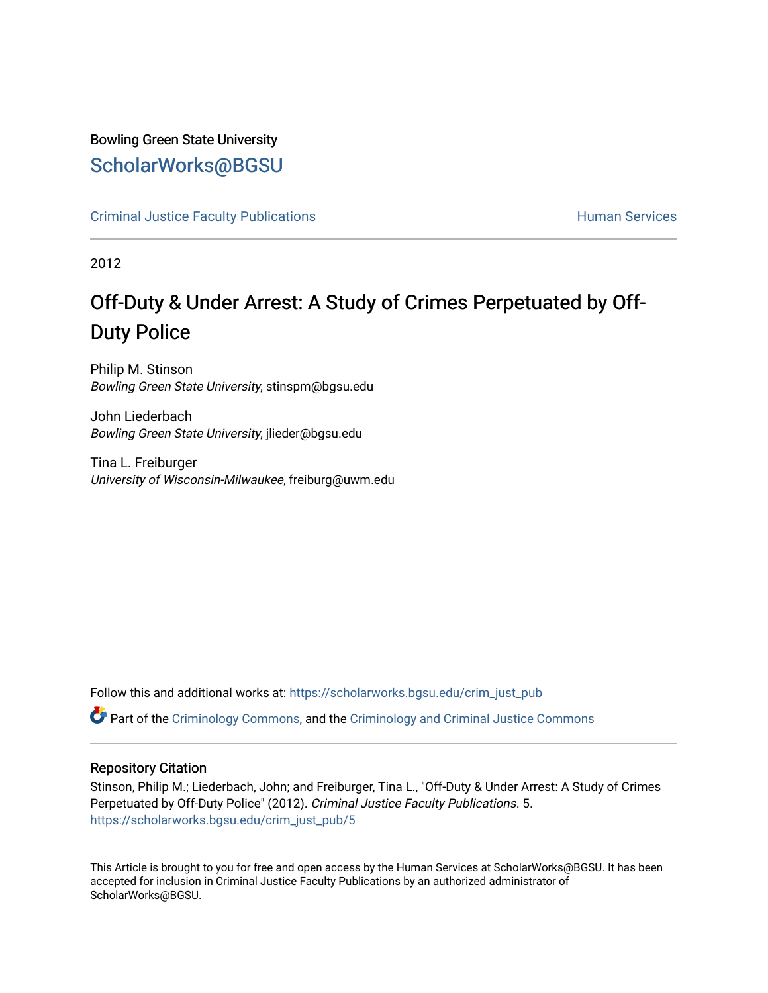## Bowling Green State University [ScholarWorks@BGSU](https://scholarworks.bgsu.edu/)

[Criminal Justice Faculty Publications](https://scholarworks.bgsu.edu/crim_just_pub) **Exercise Services** Human Services

2012

# Off-Duty & Under Arrest: A Study of Crimes Perpetuated by Off-Duty Police

Philip M. Stinson Bowling Green State University, stinspm@bgsu.edu

John Liederbach Bowling Green State University, jlieder@bgsu.edu

Tina L. Freiburger University of Wisconsin-Milwaukee, freiburg@uwm.edu

Follow this and additional works at: [https://scholarworks.bgsu.edu/crim\\_just\\_pub](https://scholarworks.bgsu.edu/crim_just_pub?utm_source=scholarworks.bgsu.edu%2Fcrim_just_pub%2F5&utm_medium=PDF&utm_campaign=PDFCoverPages) 

Part of the [Criminology Commons](http://network.bepress.com/hgg/discipline/417?utm_source=scholarworks.bgsu.edu%2Fcrim_just_pub%2F5&utm_medium=PDF&utm_campaign=PDFCoverPages), and the [Criminology and Criminal Justice Commons](http://network.bepress.com/hgg/discipline/367?utm_source=scholarworks.bgsu.edu%2Fcrim_just_pub%2F5&utm_medium=PDF&utm_campaign=PDFCoverPages)

#### Repository Citation

Stinson, Philip M.; Liederbach, John; and Freiburger, Tina L., "Off-Duty & Under Arrest: A Study of Crimes Perpetuated by Off-Duty Police" (2012). Criminal Justice Faculty Publications. 5. [https://scholarworks.bgsu.edu/crim\\_just\\_pub/5](https://scholarworks.bgsu.edu/crim_just_pub/5?utm_source=scholarworks.bgsu.edu%2Fcrim_just_pub%2F5&utm_medium=PDF&utm_campaign=PDFCoverPages)

This Article is brought to you for free and open access by the Human Services at ScholarWorks@BGSU. It has been accepted for inclusion in Criminal Justice Faculty Publications by an authorized administrator of ScholarWorks@BGSU.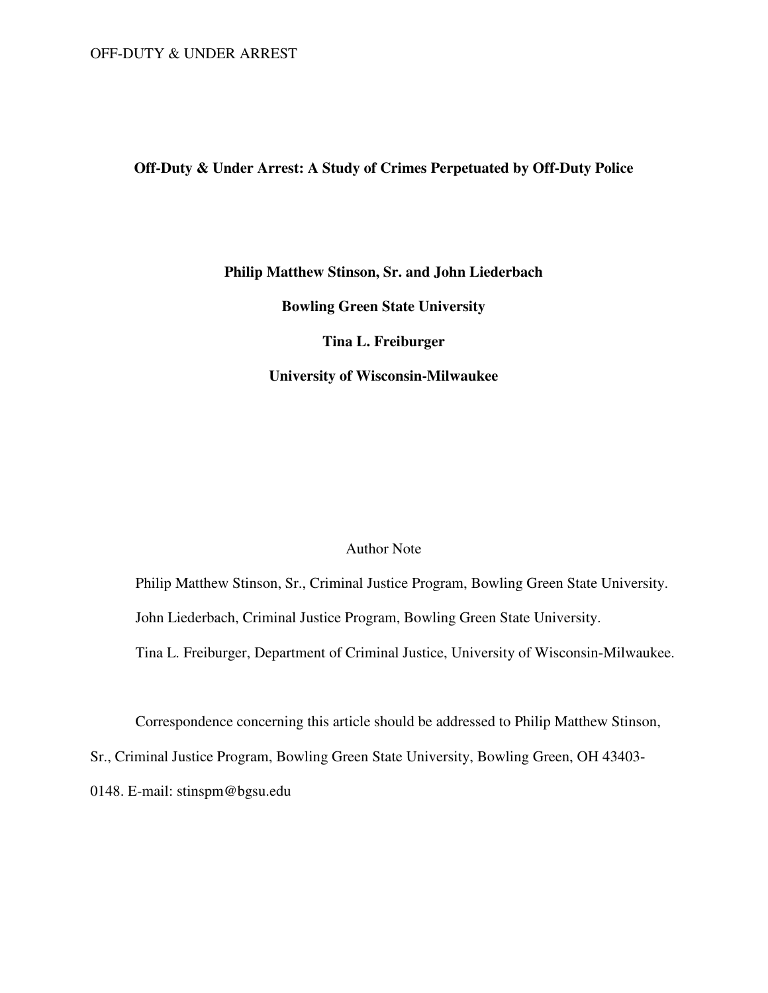## **Off-Duty & Under Arrest: A Study of Crimes Perpetuated by Off-Duty Police**

## **Philip Matthew Stinson, Sr. and John Liederbach**

**Bowling Green State University** 

**Tina L. Freiburger** 

**University of Wisconsin-Milwaukee** 

## Author Note

Philip Matthew Stinson, Sr., Criminal Justice Program, Bowling Green State University. John Liederbach, Criminal Justice Program, Bowling Green State University. Tina L. Freiburger, Department of Criminal Justice, University of Wisconsin-Milwaukee.

Correspondence concerning this article should be addressed to Philip Matthew Stinson,

Sr., Criminal Justice Program, Bowling Green State University, Bowling Green, OH 43403-

0148. E-mail: stinspm@bgsu.edu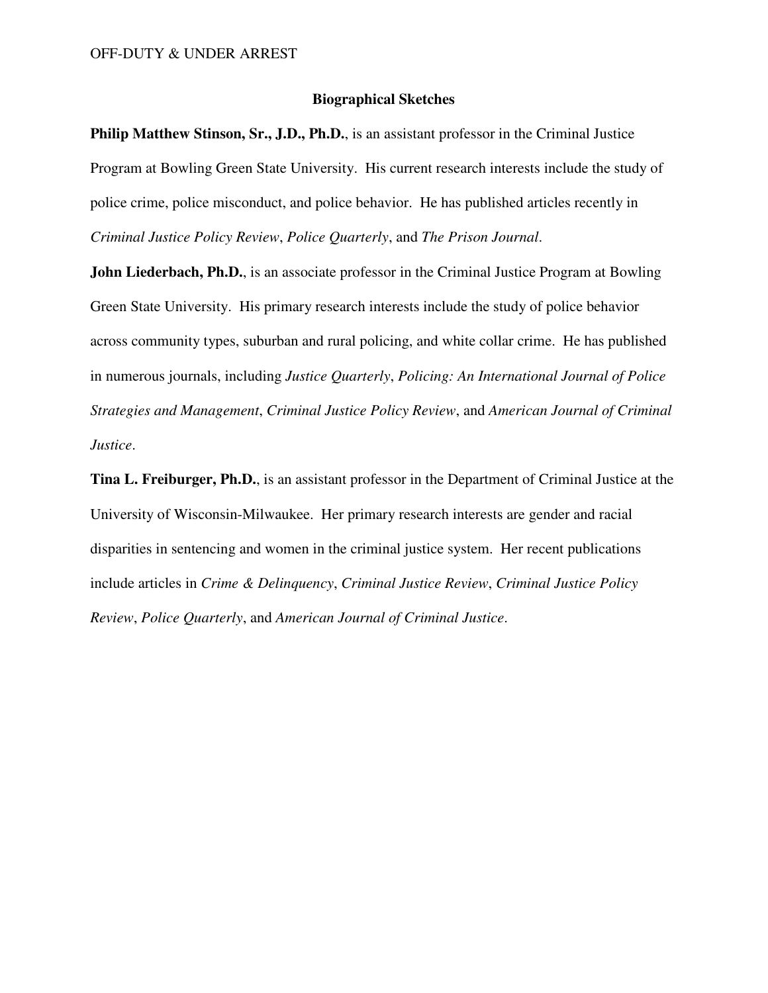## **Biographical Sketches**

**Philip Matthew Stinson, Sr., J.D., Ph.D.**, is an assistant professor in the Criminal Justice Program at Bowling Green State University. His current research interests include the study of police crime, police misconduct, and police behavior. He has published articles recently in *Criminal Justice Policy Review*, *Police Quarterly*, and *The Prison Journal*.

**John Liederbach, Ph.D.**, is an associate professor in the Criminal Justice Program at Bowling Green State University. His primary research interests include the study of police behavior across community types, suburban and rural policing, and white collar crime. He has published in numerous journals, including *Justice Quarterly*, *Policing: An International Journal of Police Strategies and Management*, *Criminal Justice Policy Review*, and *American Journal of Criminal Justice*.

**Tina L. Freiburger, Ph.D.**, is an assistant professor in the Department of Criminal Justice at the University of Wisconsin-Milwaukee. Her primary research interests are gender and racial disparities in sentencing and women in the criminal justice system. Her recent publications include articles in *Crime & Delinquency*, *Criminal Justice Review*, *Criminal Justice Policy Review*, *Police Quarterly*, and *American Journal of Criminal Justice*.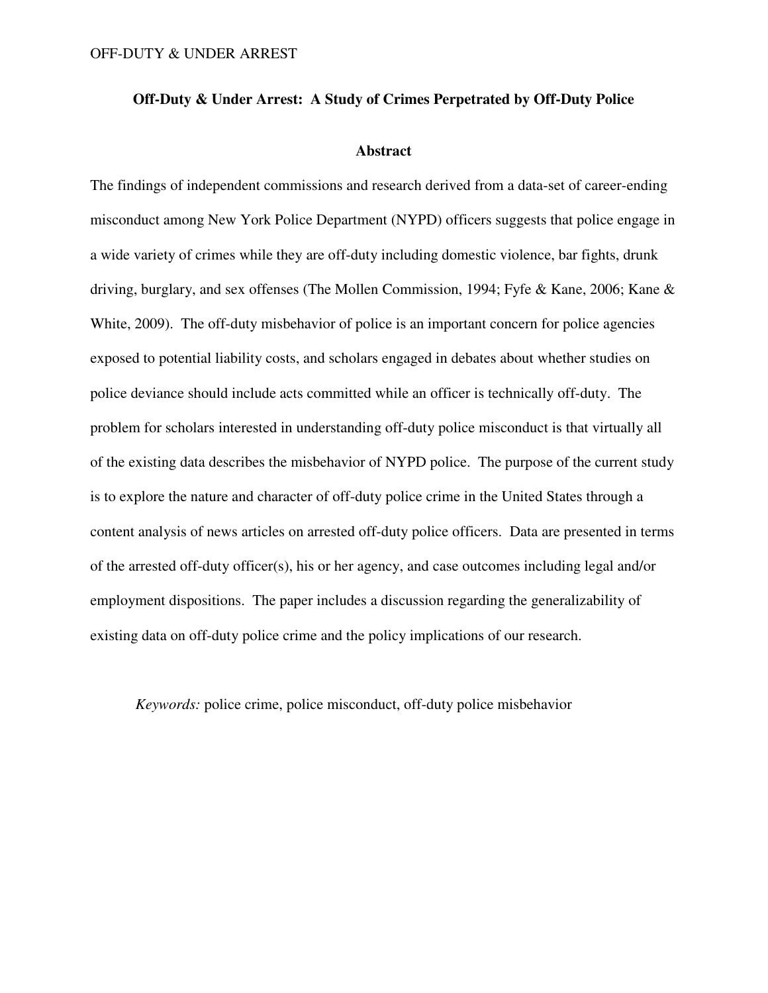## **Off-Duty & Under Arrest: A Study of Crimes Perpetrated by Off-Duty Police**

#### **Abstract**

The findings of independent commissions and research derived from a data-set of career-ending misconduct among New York Police Department (NYPD) officers suggests that police engage in a wide variety of crimes while they are off-duty including domestic violence, bar fights, drunk driving, burglary, and sex offenses (The Mollen Commission, 1994; Fyfe & Kane, 2006; Kane & White, 2009). The off-duty misbehavior of police is an important concern for police agencies exposed to potential liability costs, and scholars engaged in debates about whether studies on police deviance should include acts committed while an officer is technically off-duty. The problem for scholars interested in understanding off-duty police misconduct is that virtually all of the existing data describes the misbehavior of NYPD police. The purpose of the current study is to explore the nature and character of off-duty police crime in the United States through a content analysis of news articles on arrested off-duty police officers. Data are presented in terms of the arrested off-duty officer(s), his or her agency, and case outcomes including legal and/or employment dispositions. The paper includes a discussion regarding the generalizability of existing data on off-duty police crime and the policy implications of our research.

*Keywords:* police crime, police misconduct, off-duty police misbehavior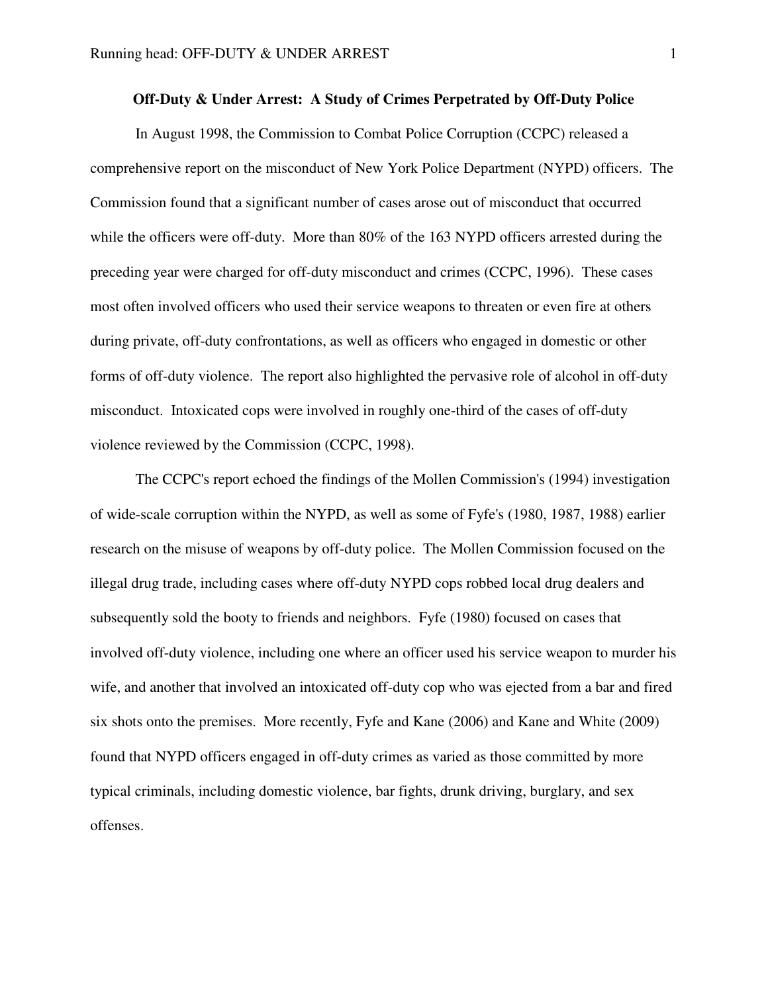## **Off-Duty & Under Arrest: A Study of Crimes Perpetrated by Off-Duty Police**

 In August 1998, the Commission to Combat Police Corruption (CCPC) released a comprehensive report on the misconduct of New York Police Department (NYPD) officers. The Commission found that a significant number of cases arose out of misconduct that occurred while the officers were off-duty. More than 80% of the 163 NYPD officers arrested during the preceding year were charged for off-duty misconduct and crimes (CCPC, 1996). These cases most often involved officers who used their service weapons to threaten or even fire at others during private, off-duty confrontations, as well as officers who engaged in domestic or other forms of off-duty violence. The report also highlighted the pervasive role of alcohol in off-duty misconduct. Intoxicated cops were involved in roughly one-third of the cases of off-duty violence reviewed by the Commission (CCPC, 1998).

 The CCPC's report echoed the findings of the Mollen Commission's (1994) investigation of wide-scale corruption within the NYPD, as well as some of Fyfe's (1980, 1987, 1988) earlier research on the misuse of weapons by off-duty police. The Mollen Commission focused on the illegal drug trade, including cases where off-duty NYPD cops robbed local drug dealers and subsequently sold the booty to friends and neighbors. Fyfe (1980) focused on cases that involved off-duty violence, including one where an officer used his service weapon to murder his wife, and another that involved an intoxicated off-duty cop who was ejected from a bar and fired six shots onto the premises. More recently, Fyfe and Kane (2006) and Kane and White (2009) found that NYPD officers engaged in off-duty crimes as varied as those committed by more typical criminals, including domestic violence, bar fights, drunk driving, burglary, and sex offenses.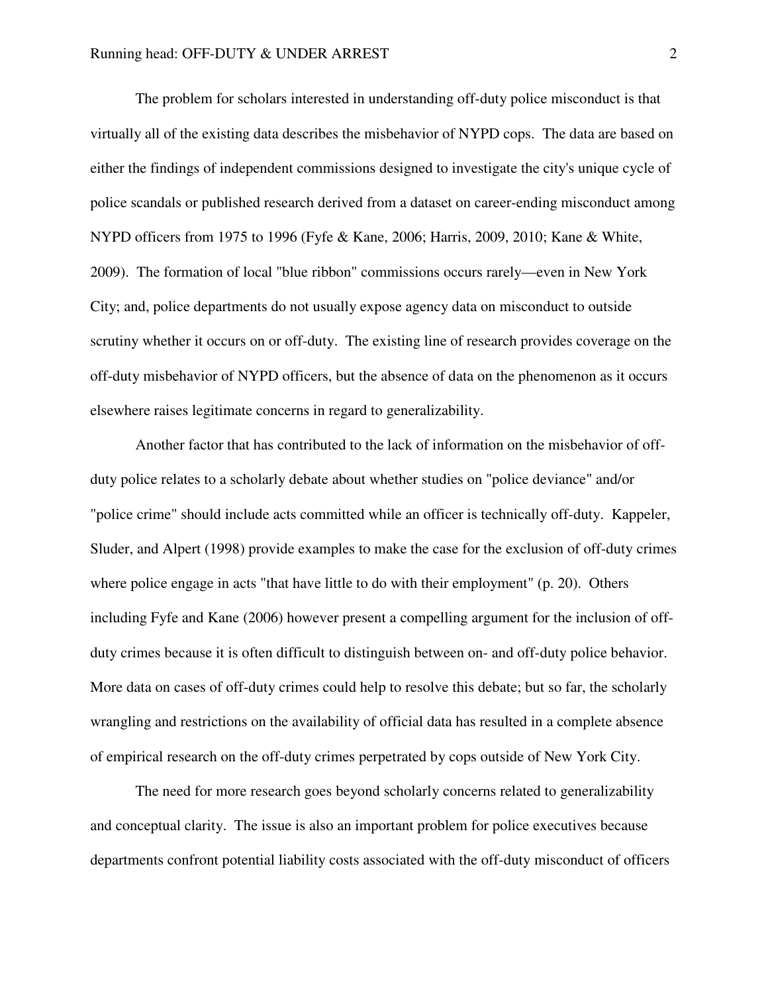The problem for scholars interested in understanding off-duty police misconduct is that virtually all of the existing data describes the misbehavior of NYPD cops. The data are based on either the findings of independent commissions designed to investigate the city's unique cycle of police scandals or published research derived from a dataset on career-ending misconduct among NYPD officers from 1975 to 1996 (Fyfe & Kane, 2006; Harris, 2009, 2010; Kane & White, 2009). The formation of local "blue ribbon" commissions occurs rarely—even in New York City; and, police departments do not usually expose agency data on misconduct to outside scrutiny whether it occurs on or off-duty. The existing line of research provides coverage on the off-duty misbehavior of NYPD officers, but the absence of data on the phenomenon as it occurs elsewhere raises legitimate concerns in regard to generalizability.

 Another factor that has contributed to the lack of information on the misbehavior of offduty police relates to a scholarly debate about whether studies on "police deviance" and/or "police crime" should include acts committed while an officer is technically off-duty. Kappeler, Sluder, and Alpert (1998) provide examples to make the case for the exclusion of off-duty crimes where police engage in acts "that have little to do with their employment" (p. 20). Others including Fyfe and Kane (2006) however present a compelling argument for the inclusion of offduty crimes because it is often difficult to distinguish between on- and off-duty police behavior. More data on cases of off-duty crimes could help to resolve this debate; but so far, the scholarly wrangling and restrictions on the availability of official data has resulted in a complete absence of empirical research on the off-duty crimes perpetrated by cops outside of New York City.

 The need for more research goes beyond scholarly concerns related to generalizability and conceptual clarity. The issue is also an important problem for police executives because departments confront potential liability costs associated with the off-duty misconduct of officers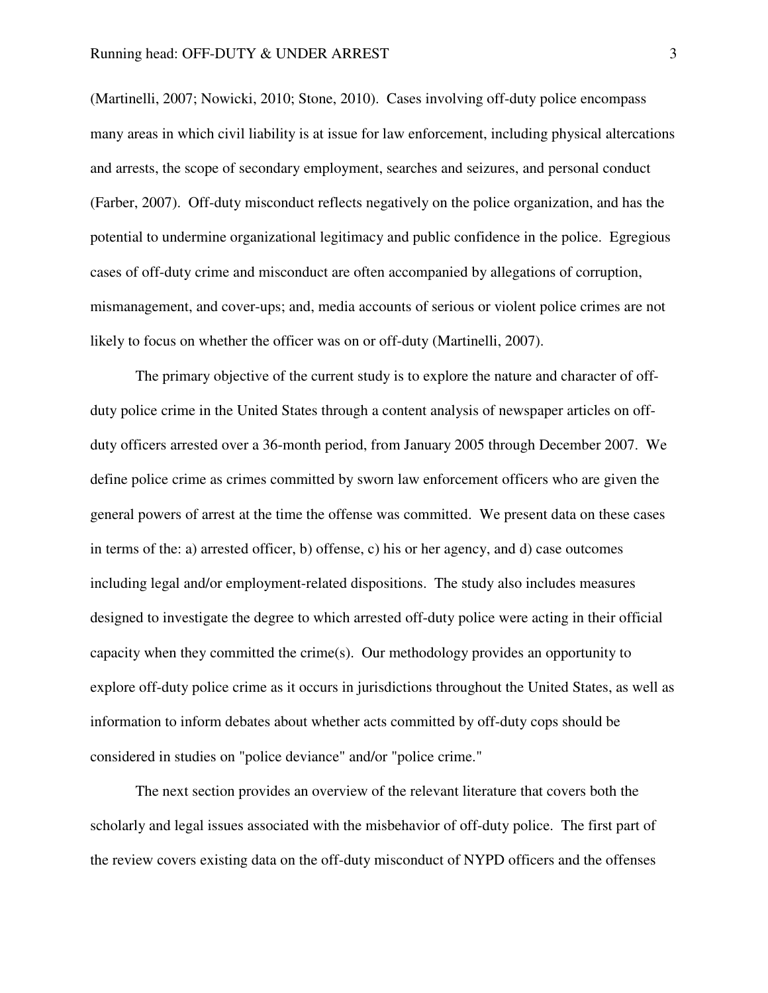(Martinelli, 2007; Nowicki, 2010; Stone, 2010). Cases involving off-duty police encompass many areas in which civil liability is at issue for law enforcement, including physical altercations and arrests, the scope of secondary employment, searches and seizures, and personal conduct (Farber, 2007). Off-duty misconduct reflects negatively on the police organization, and has the potential to undermine organizational legitimacy and public confidence in the police. Egregious cases of off-duty crime and misconduct are often accompanied by allegations of corruption, mismanagement, and cover-ups; and, media accounts of serious or violent police crimes are not likely to focus on whether the officer was on or off-duty (Martinelli, 2007).

The primary objective of the current study is to explore the nature and character of offduty police crime in the United States through a content analysis of newspaper articles on offduty officers arrested over a 36-month period, from January 2005 through December 2007. We define police crime as crimes committed by sworn law enforcement officers who are given the general powers of arrest at the time the offense was committed. We present data on these cases in terms of the: a) arrested officer, b) offense, c) his or her agency, and d) case outcomes including legal and/or employment-related dispositions. The study also includes measures designed to investigate the degree to which arrested off-duty police were acting in their official capacity when they committed the crime(s). Our methodology provides an opportunity to explore off-duty police crime as it occurs in jurisdictions throughout the United States, as well as information to inform debates about whether acts committed by off-duty cops should be considered in studies on "police deviance" and/or "police crime."

The next section provides an overview of the relevant literature that covers both the scholarly and legal issues associated with the misbehavior of off-duty police. The first part of the review covers existing data on the off-duty misconduct of NYPD officers and the offenses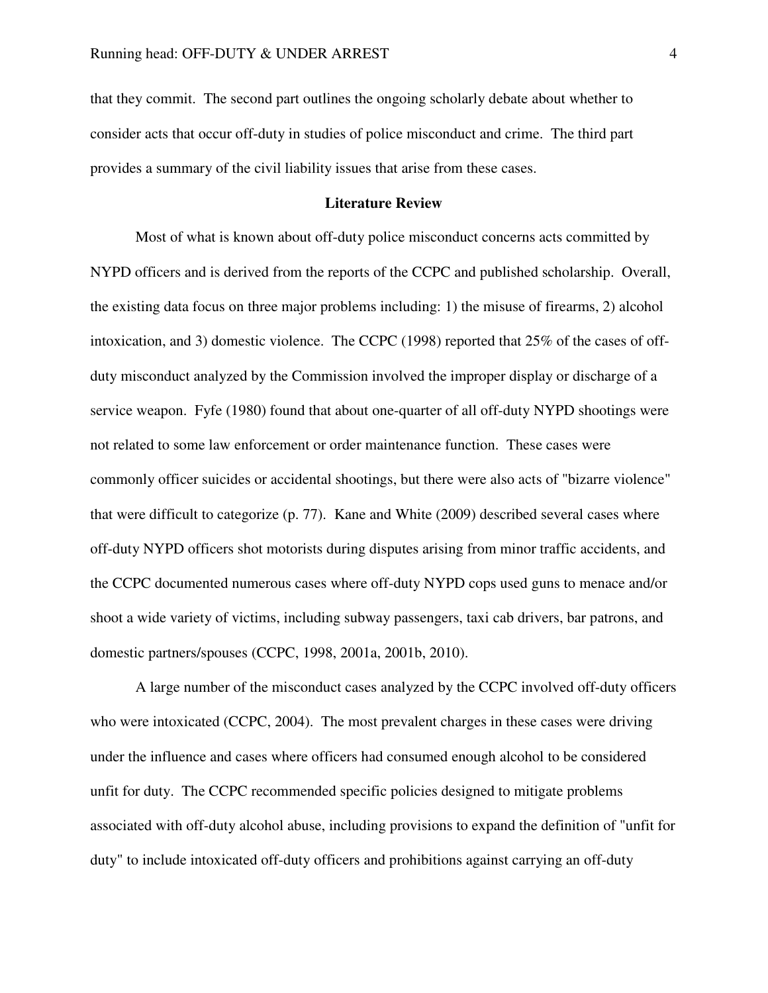that they commit. The second part outlines the ongoing scholarly debate about whether to consider acts that occur off-duty in studies of police misconduct and crime. The third part provides a summary of the civil liability issues that arise from these cases.

#### **Literature Review**

 Most of what is known about off-duty police misconduct concerns acts committed by NYPD officers and is derived from the reports of the CCPC and published scholarship. Overall, the existing data focus on three major problems including: 1) the misuse of firearms, 2) alcohol intoxication, and 3) domestic violence. The CCPC (1998) reported that 25% of the cases of offduty misconduct analyzed by the Commission involved the improper display or discharge of a service weapon. Fyfe (1980) found that about one-quarter of all off-duty NYPD shootings were not related to some law enforcement or order maintenance function. These cases were commonly officer suicides or accidental shootings, but there were also acts of "bizarre violence" that were difficult to categorize (p. 77). Kane and White (2009) described several cases where off-duty NYPD officers shot motorists during disputes arising from minor traffic accidents, and the CCPC documented numerous cases where off-duty NYPD cops used guns to menace and/or shoot a wide variety of victims, including subway passengers, taxi cab drivers, bar patrons, and domestic partners/spouses (CCPC, 1998, 2001a, 2001b, 2010).

 A large number of the misconduct cases analyzed by the CCPC involved off-duty officers who were intoxicated (CCPC, 2004). The most prevalent charges in these cases were driving under the influence and cases where officers had consumed enough alcohol to be considered unfit for duty. The CCPC recommended specific policies designed to mitigate problems associated with off-duty alcohol abuse, including provisions to expand the definition of "unfit for duty" to include intoxicated off-duty officers and prohibitions against carrying an off-duty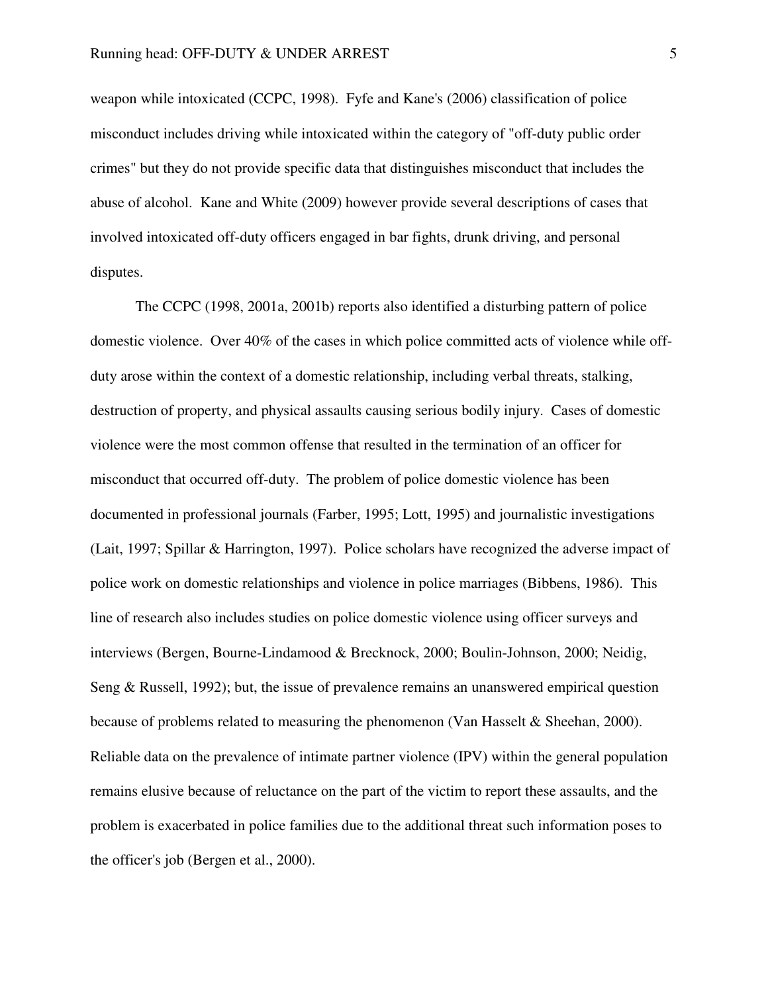weapon while intoxicated (CCPC, 1998). Fyfe and Kane's (2006) classification of police misconduct includes driving while intoxicated within the category of "off-duty public order crimes" but they do not provide specific data that distinguishes misconduct that includes the abuse of alcohol. Kane and White (2009) however provide several descriptions of cases that involved intoxicated off-duty officers engaged in bar fights, drunk driving, and personal disputes.

 The CCPC (1998, 2001a, 2001b) reports also identified a disturbing pattern of police domestic violence. Over 40% of the cases in which police committed acts of violence while offduty arose within the context of a domestic relationship, including verbal threats, stalking, destruction of property, and physical assaults causing serious bodily injury. Cases of domestic violence were the most common offense that resulted in the termination of an officer for misconduct that occurred off-duty. The problem of police domestic violence has been documented in professional journals (Farber, 1995; Lott, 1995) and journalistic investigations (Lait, 1997; Spillar & Harrington, 1997). Police scholars have recognized the adverse impact of police work on domestic relationships and violence in police marriages (Bibbens, 1986). This line of research also includes studies on police domestic violence using officer surveys and interviews (Bergen, Bourne-Lindamood & Brecknock, 2000; Boulin-Johnson, 2000; Neidig, Seng & Russell, 1992); but, the issue of prevalence remains an unanswered empirical question because of problems related to measuring the phenomenon (Van Hasselt & Sheehan, 2000). Reliable data on the prevalence of intimate partner violence (IPV) within the general population remains elusive because of reluctance on the part of the victim to report these assaults, and the problem is exacerbated in police families due to the additional threat such information poses to the officer's job (Bergen et al., 2000).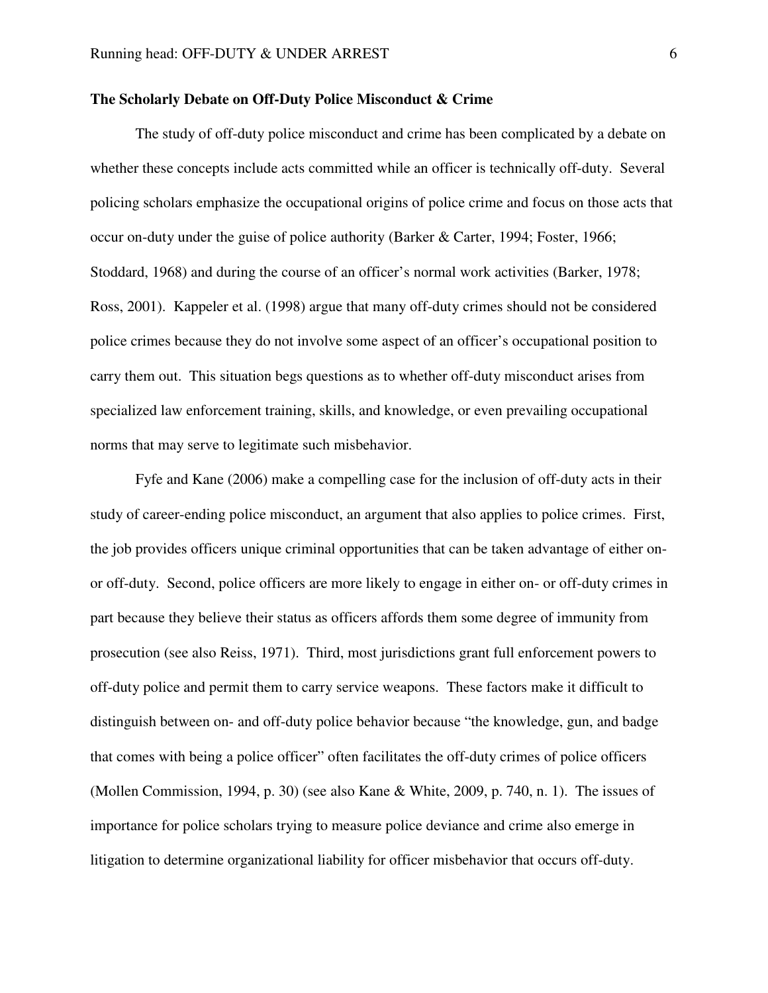#### **The Scholarly Debate on Off-Duty Police Misconduct & Crime**

 The study of off-duty police misconduct and crime has been complicated by a debate on whether these concepts include acts committed while an officer is technically off-duty. Several policing scholars emphasize the occupational origins of police crime and focus on those acts that occur on-duty under the guise of police authority (Barker & Carter, 1994; Foster, 1966; Stoddard, 1968) and during the course of an officer's normal work activities (Barker, 1978; Ross, 2001). Kappeler et al. (1998) argue that many off-duty crimes should not be considered police crimes because they do not involve some aspect of an officer's occupational position to carry them out. This situation begs questions as to whether off-duty misconduct arises from specialized law enforcement training, skills, and knowledge, or even prevailing occupational norms that may serve to legitimate such misbehavior.

Fyfe and Kane (2006) make a compelling case for the inclusion of off-duty acts in their study of career-ending police misconduct, an argument that also applies to police crimes. First, the job provides officers unique criminal opportunities that can be taken advantage of either onor off-duty. Second, police officers are more likely to engage in either on- or off-duty crimes in part because they believe their status as officers affords them some degree of immunity from prosecution (see also Reiss, 1971). Third, most jurisdictions grant full enforcement powers to off-duty police and permit them to carry service weapons. These factors make it difficult to distinguish between on- and off-duty police behavior because "the knowledge, gun, and badge that comes with being a police officer" often facilitates the off-duty crimes of police officers (Mollen Commission, 1994, p. 30) (see also Kane & White, 2009, p. 740, n. 1). The issues of importance for police scholars trying to measure police deviance and crime also emerge in litigation to determine organizational liability for officer misbehavior that occurs off-duty.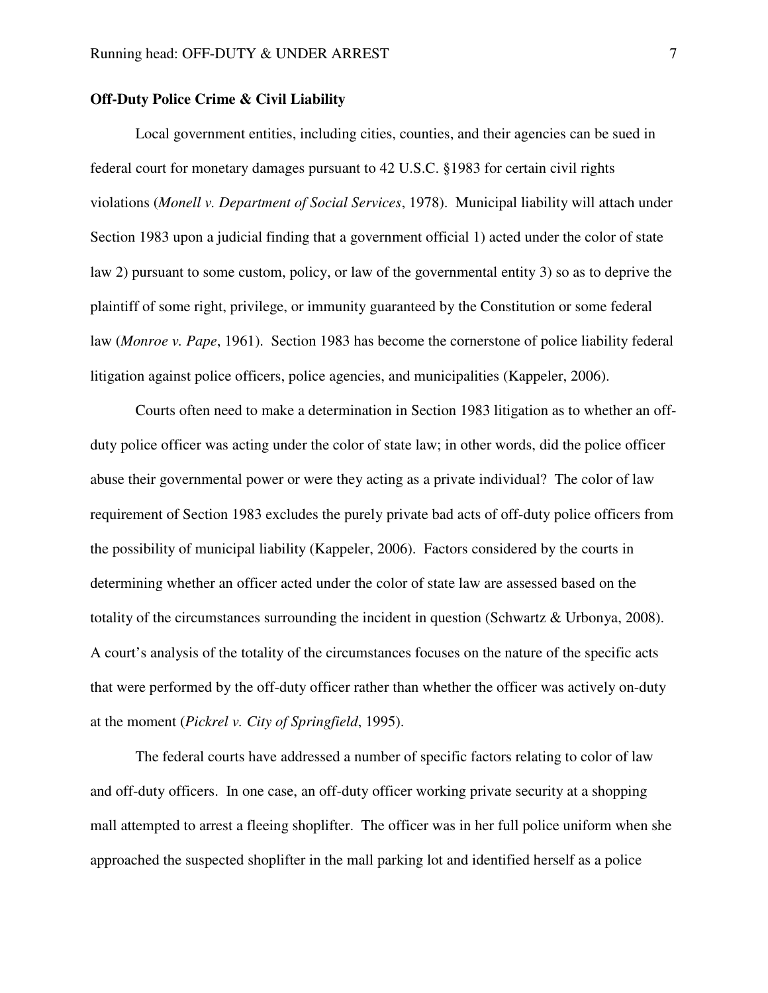## **Off-Duty Police Crime & Civil Liability**

 Local government entities, including cities, counties, and their agencies can be sued in federal court for monetary damages pursuant to 42 U.S.C. §1983 for certain civil rights violations (*Monell v. Department of Social Services*, 1978). Municipal liability will attach under Section 1983 upon a judicial finding that a government official 1) acted under the color of state law 2) pursuant to some custom, policy, or law of the governmental entity 3) so as to deprive the plaintiff of some right, privilege, or immunity guaranteed by the Constitution or some federal law (*Monroe v. Pape*, 1961). Section 1983 has become the cornerstone of police liability federal litigation against police officers, police agencies, and municipalities (Kappeler, 2006).

Courts often need to make a determination in Section 1983 litigation as to whether an offduty police officer was acting under the color of state law; in other words, did the police officer abuse their governmental power or were they acting as a private individual? The color of law requirement of Section 1983 excludes the purely private bad acts of off-duty police officers from the possibility of municipal liability (Kappeler, 2006). Factors considered by the courts in determining whether an officer acted under the color of state law are assessed based on the totality of the circumstances surrounding the incident in question (Schwartz & Urbonya, 2008). A court's analysis of the totality of the circumstances focuses on the nature of the specific acts that were performed by the off-duty officer rather than whether the officer was actively on-duty at the moment (*Pickrel v. City of Springfield*, 1995).

The federal courts have addressed a number of specific factors relating to color of law and off-duty officers. In one case, an off-duty officer working private security at a shopping mall attempted to arrest a fleeing shoplifter. The officer was in her full police uniform when she approached the suspected shoplifter in the mall parking lot and identified herself as a police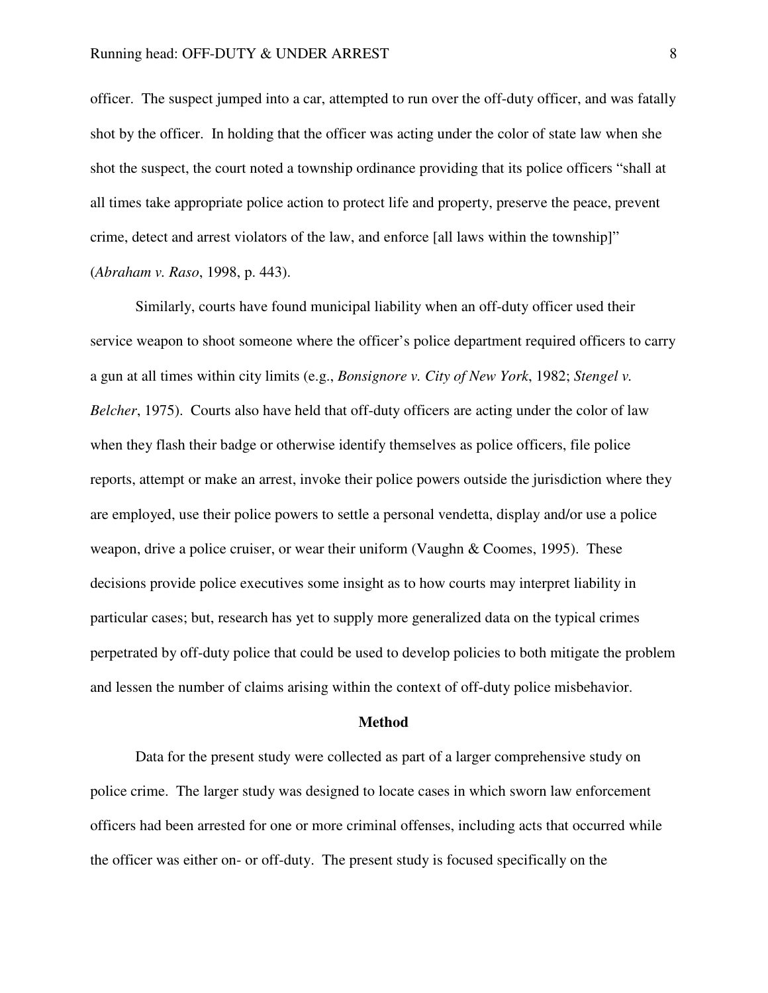officer. The suspect jumped into a car, attempted to run over the off-duty officer, and was fatally shot by the officer. In holding that the officer was acting under the color of state law when she shot the suspect, the court noted a township ordinance providing that its police officers "shall at all times take appropriate police action to protect life and property, preserve the peace, prevent crime, detect and arrest violators of the law, and enforce [all laws within the township]" (*Abraham v. Raso*, 1998, p. 443).

Similarly, courts have found municipal liability when an off-duty officer used their service weapon to shoot someone where the officer's police department required officers to carry a gun at all times within city limits (e.g., *Bonsignore v. City of New York*, 1982; *Stengel v. Belcher*, 1975). Courts also have held that off-duty officers are acting under the color of law when they flash their badge or otherwise identify themselves as police officers, file police reports, attempt or make an arrest, invoke their police powers outside the jurisdiction where they are employed, use their police powers to settle a personal vendetta, display and/or use a police weapon, drive a police cruiser, or wear their uniform (Vaughn & Coomes, 1995). These decisions provide police executives some insight as to how courts may interpret liability in particular cases; but, research has yet to supply more generalized data on the typical crimes perpetrated by off-duty police that could be used to develop policies to both mitigate the problem and lessen the number of claims arising within the context of off-duty police misbehavior.

#### **Method**

 Data for the present study were collected as part of a larger comprehensive study on police crime. The larger study was designed to locate cases in which sworn law enforcement officers had been arrested for one or more criminal offenses, including acts that occurred while the officer was either on- or off-duty. The present study is focused specifically on the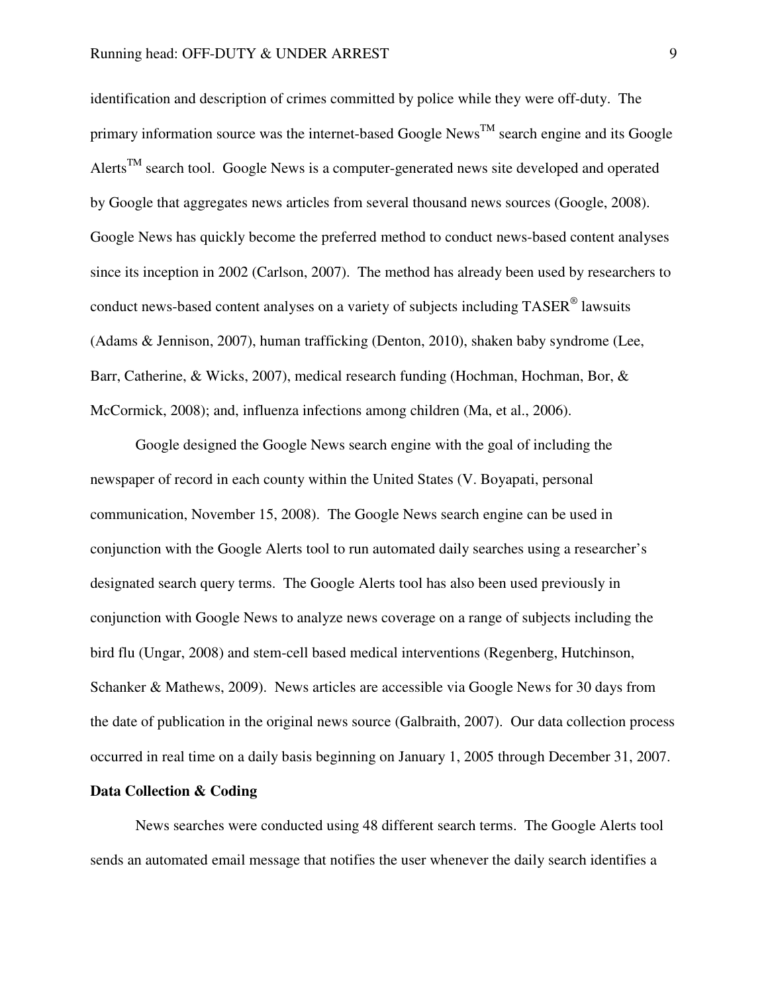identification and description of crimes committed by police while they were off-duty. The primary information source was the internet-based Google News<sup>TM</sup> search engine and its Google Alerts<sup>TM</sup> search tool. Google News is a computer-generated news site developed and operated by Google that aggregates news articles from several thousand news sources (Google, 2008). Google News has quickly become the preferred method to conduct news-based content analyses since its inception in 2002 (Carlson, 2007). The method has already been used by researchers to conduct news-based content analyses on a variety of subjects including TASER<sup>®</sup> lawsuits (Adams & Jennison, 2007), human trafficking (Denton, 2010), shaken baby syndrome (Lee, Barr, Catherine, & Wicks, 2007), medical research funding (Hochman, Hochman, Bor, & McCormick, 2008); and, influenza infections among children (Ma, et al., 2006).

 Google designed the Google News search engine with the goal of including the newspaper of record in each county within the United States (V. Boyapati, personal communication, November 15, 2008). The Google News search engine can be used in conjunction with the Google Alerts tool to run automated daily searches using a researcher's designated search query terms. The Google Alerts tool has also been used previously in conjunction with Google News to analyze news coverage on a range of subjects including the bird flu (Ungar, 2008) and stem-cell based medical interventions (Regenberg, Hutchinson, Schanker & Mathews, 2009). News articles are accessible via Google News for 30 days from the date of publication in the original news source (Galbraith, 2007). Our data collection process occurred in real time on a daily basis beginning on January 1, 2005 through December 31, 2007.

## **Data Collection & Coding**

 News searches were conducted using 48 different search terms. The Google Alerts tool sends an automated email message that notifies the user whenever the daily search identifies a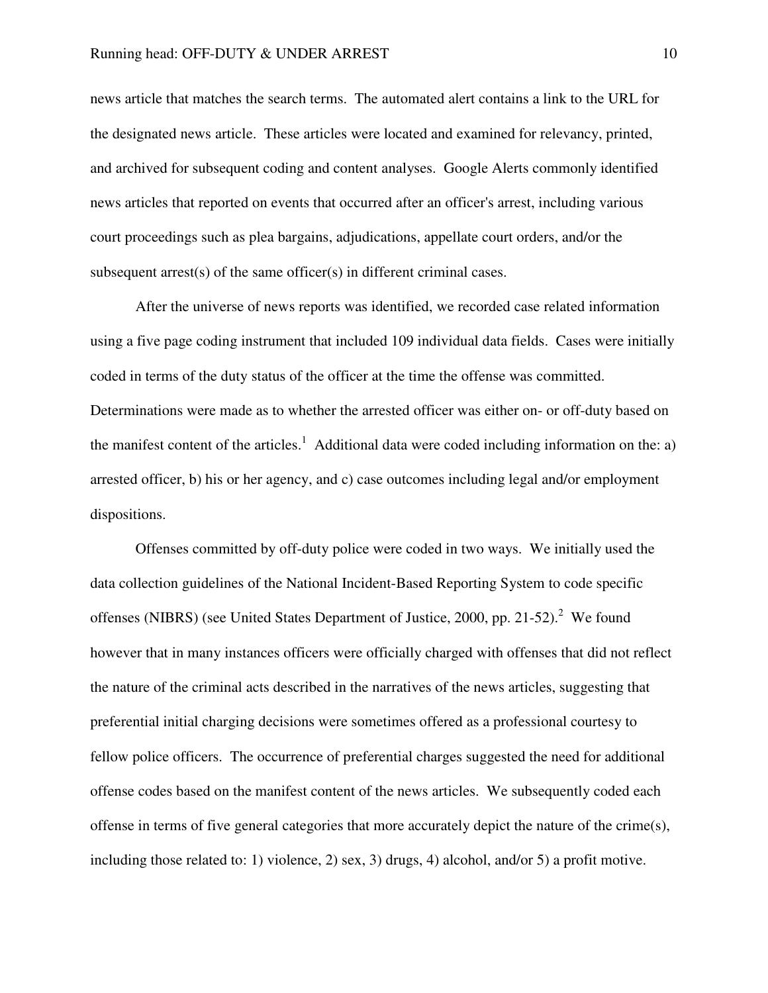news article that matches the search terms. The automated alert contains a link to the URL for the designated news article. These articles were located and examined for relevancy, printed, and archived for subsequent coding and content analyses. Google Alerts commonly identified news articles that reported on events that occurred after an officer's arrest, including various court proceedings such as plea bargains, adjudications, appellate court orders, and/or the subsequent arrest(s) of the same officer(s) in different criminal cases.

 After the universe of news reports was identified, we recorded case related information using a five page coding instrument that included 109 individual data fields. Cases were initially coded in terms of the duty status of the officer at the time the offense was committed. Determinations were made as to whether the arrested officer was either on- or off-duty based on the manifest content of the articles.<sup>1</sup> Additional data were coded including information on the: a) arrested officer, b) his or her agency, and c) case outcomes including legal and/or employment dispositions.

 Offenses committed by off-duty police were coded in two ways. We initially used the data collection guidelines of the National Incident-Based Reporting System to code specific offenses (NIBRS) (see United States Department of Justice, 2000, pp. 21-52). $2$  We found however that in many instances officers were officially charged with offenses that did not reflect the nature of the criminal acts described in the narratives of the news articles, suggesting that preferential initial charging decisions were sometimes offered as a professional courtesy to fellow police officers. The occurrence of preferential charges suggested the need for additional offense codes based on the manifest content of the news articles. We subsequently coded each offense in terms of five general categories that more accurately depict the nature of the crime(s), including those related to: 1) violence, 2) sex, 3) drugs, 4) alcohol, and/or 5) a profit motive.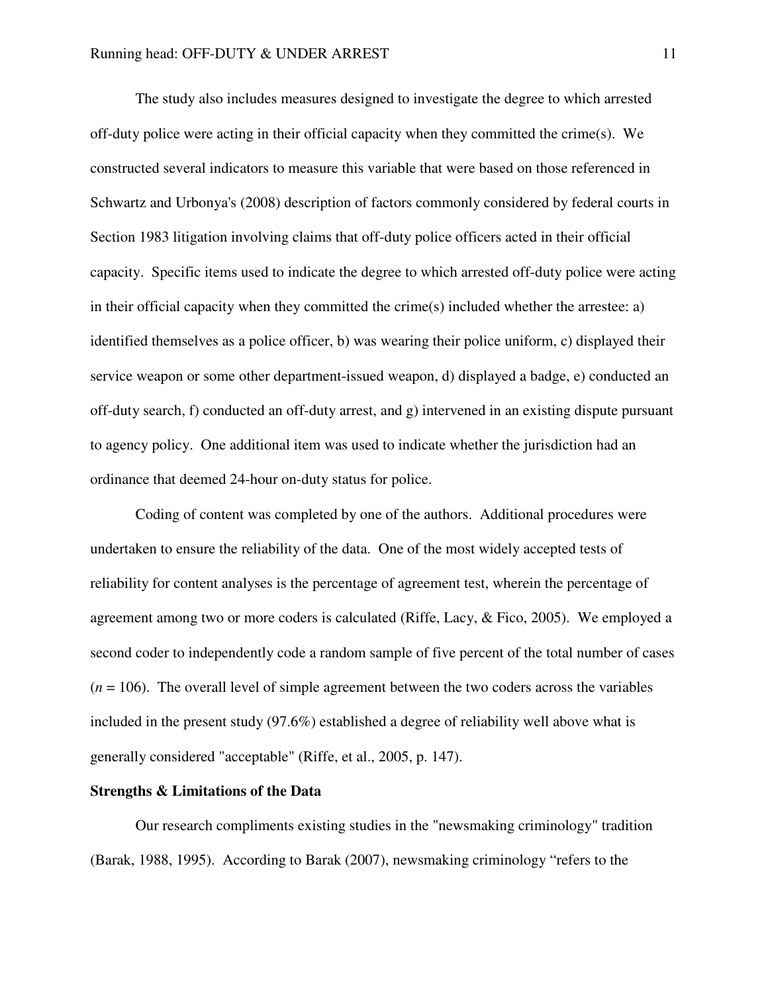The study also includes measures designed to investigate the degree to which arrested off-duty police were acting in their official capacity when they committed the crime(s). We constructed several indicators to measure this variable that were based on those referenced in Schwartz and Urbonya's (2008) description of factors commonly considered by federal courts in Section 1983 litigation involving claims that off-duty police officers acted in their official capacity. Specific items used to indicate the degree to which arrested off-duty police were acting in their official capacity when they committed the crime(s) included whether the arrestee: a) identified themselves as a police officer, b) was wearing their police uniform, c) displayed their service weapon or some other department-issued weapon, d) displayed a badge, e) conducted an off-duty search, f) conducted an off-duty arrest, and g) intervened in an existing dispute pursuant to agency policy. One additional item was used to indicate whether the jurisdiction had an ordinance that deemed 24-hour on-duty status for police.

Coding of content was completed by one of the authors. Additional procedures were undertaken to ensure the reliability of the data. One of the most widely accepted tests of reliability for content analyses is the percentage of agreement test, wherein the percentage of agreement among two or more coders is calculated (Riffe, Lacy, & Fico, 2005). We employed a second coder to independently code a random sample of five percent of the total number of cases  $(n = 106)$ . The overall level of simple agreement between the two coders across the variables included in the present study (97.6%) established a degree of reliability well above what is generally considered "acceptable" (Riffe, et al., 2005, p. 147).

#### **Strengths & Limitations of the Data**

 Our research compliments existing studies in the "newsmaking criminology" tradition (Barak, 1988, 1995). According to Barak (2007), newsmaking criminology "refers to the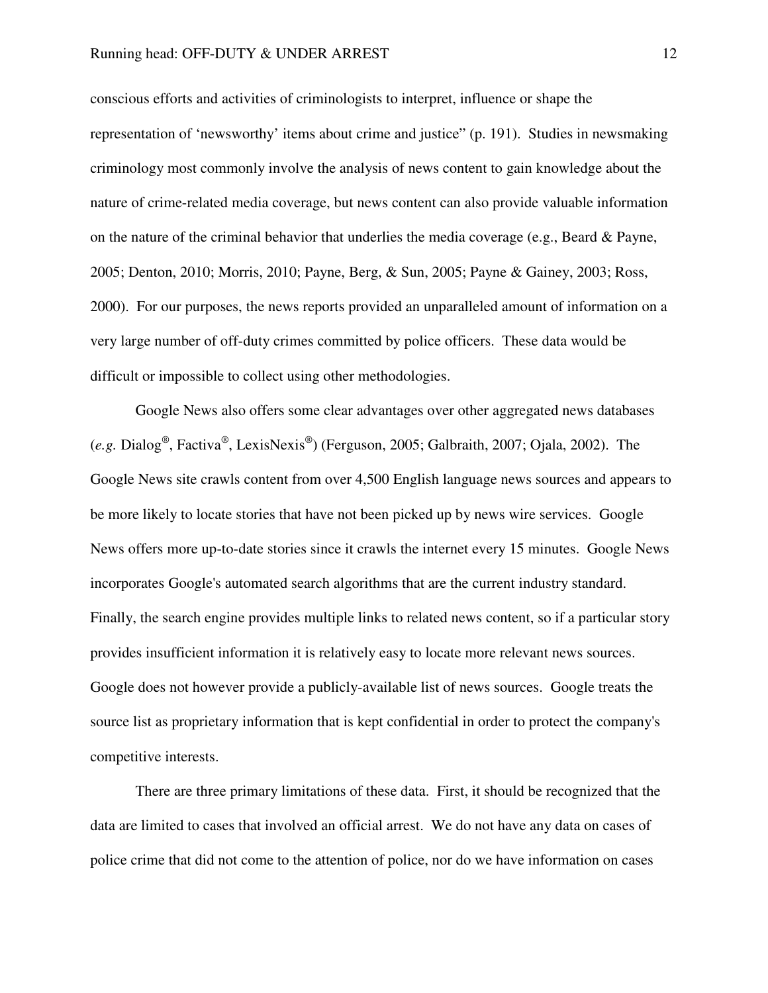conscious efforts and activities of criminologists to interpret, influence or shape the representation of 'newsworthy' items about crime and justice" (p. 191). Studies in newsmaking criminology most commonly involve the analysis of news content to gain knowledge about the nature of crime-related media coverage, but news content can also provide valuable information on the nature of the criminal behavior that underlies the media coverage (e.g., Beard & Payne, 2005; Denton, 2010; Morris, 2010; Payne, Berg, & Sun, 2005; Payne & Gainey, 2003; Ross, 2000). For our purposes, the news reports provided an unparalleled amount of information on a very large number of off-duty crimes committed by police officers. These data would be difficult or impossible to collect using other methodologies.

 Google News also offers some clear advantages over other aggregated news databases (*e.g.* Dialog® , Factiva® , LexisNexis® ) (Ferguson, 2005; Galbraith, 2007; Ojala, 2002). The Google News site crawls content from over 4,500 English language news sources and appears to be more likely to locate stories that have not been picked up by news wire services. Google News offers more up-to-date stories since it crawls the internet every 15 minutes. Google News incorporates Google's automated search algorithms that are the current industry standard. Finally, the search engine provides multiple links to related news content, so if a particular story provides insufficient information it is relatively easy to locate more relevant news sources. Google does not however provide a publicly-available list of news sources. Google treats the source list as proprietary information that is kept confidential in order to protect the company's competitive interests.

There are three primary limitations of these data. First, it should be recognized that the data are limited to cases that involved an official arrest. We do not have any data on cases of police crime that did not come to the attention of police, nor do we have information on cases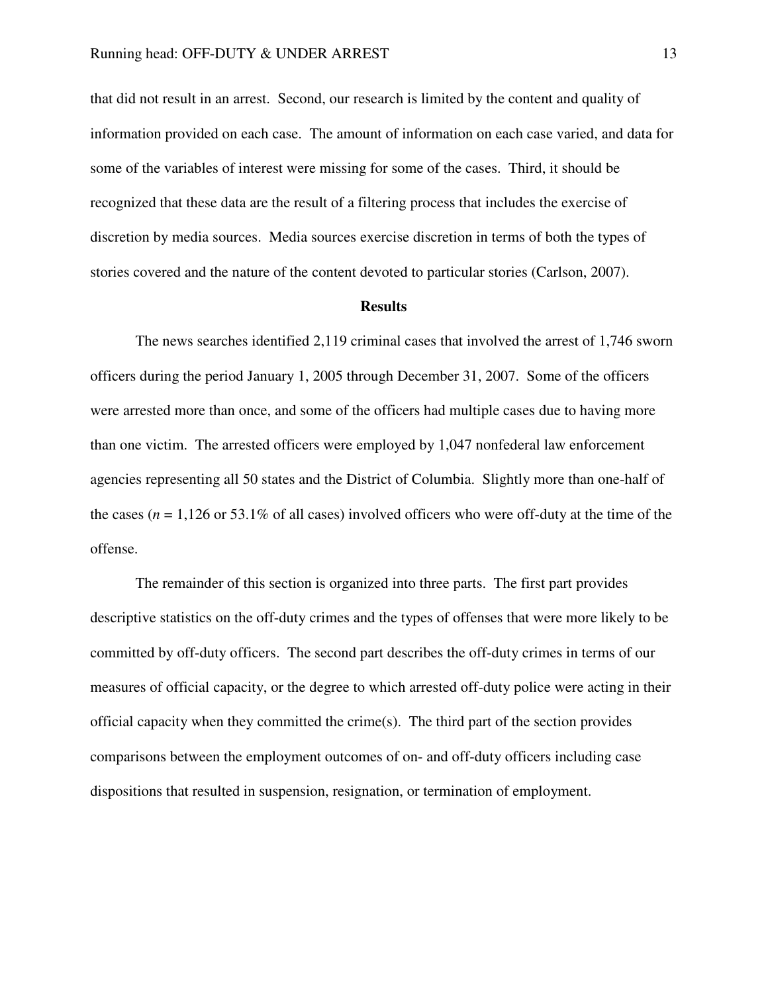that did not result in an arrest. Second, our research is limited by the content and quality of information provided on each case. The amount of information on each case varied, and data for some of the variables of interest were missing for some of the cases. Third, it should be recognized that these data are the result of a filtering process that includes the exercise of discretion by media sources. Media sources exercise discretion in terms of both the types of stories covered and the nature of the content devoted to particular stories (Carlson, 2007).

#### **Results**

 The news searches identified 2,119 criminal cases that involved the arrest of 1,746 sworn officers during the period January 1, 2005 through December 31, 2007. Some of the officers were arrested more than once, and some of the officers had multiple cases due to having more than one victim. The arrested officers were employed by 1,047 nonfederal law enforcement agencies representing all 50 states and the District of Columbia. Slightly more than one-half of the cases  $(n = 1,126$  or 53.1% of all cases) involved officers who were off-duty at the time of the offense.

 The remainder of this section is organized into three parts. The first part provides descriptive statistics on the off-duty crimes and the types of offenses that were more likely to be committed by off-duty officers. The second part describes the off-duty crimes in terms of our measures of official capacity, or the degree to which arrested off-duty police were acting in their official capacity when they committed the crime(s). The third part of the section provides comparisons between the employment outcomes of on- and off-duty officers including case dispositions that resulted in suspension, resignation, or termination of employment.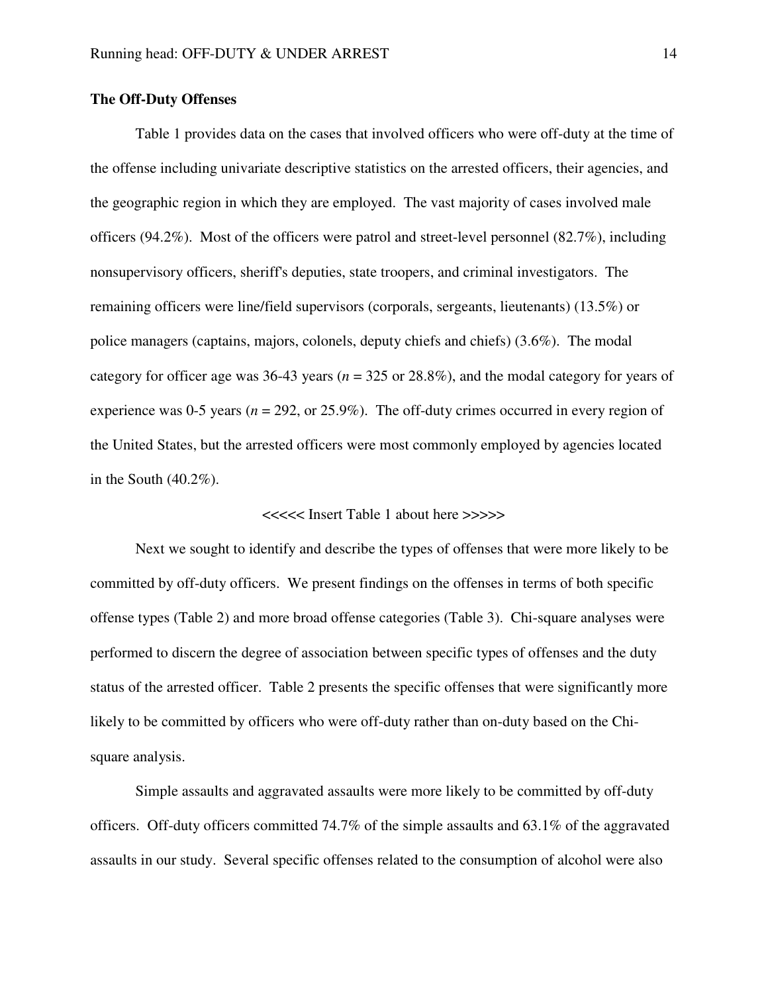#### **The Off-Duty Offenses**

 Table 1 provides data on the cases that involved officers who were off-duty at the time of the offense including univariate descriptive statistics on the arrested officers, their agencies, and the geographic region in which they are employed. The vast majority of cases involved male officers (94.2%). Most of the officers were patrol and street-level personnel (82.7%), including nonsupervisory officers, sheriff's deputies, state troopers, and criminal investigators. The remaining officers were line/field supervisors (corporals, sergeants, lieutenants) (13.5%) or police managers (captains, majors, colonels, deputy chiefs and chiefs) (3.6%). The modal category for officer age was 36-43 years (*n* = 325 or 28.8%), and the modal category for years of experience was 0-5 years  $(n = 292, \text{ or } 25.9\%)$ . The off-duty crimes occurred in every region of the United States, but the arrested officers were most commonly employed by agencies located in the South  $(40.2\%)$ .

#### <<<<< Insert Table 1 about here >>>>>

 Next we sought to identify and describe the types of offenses that were more likely to be committed by off-duty officers. We present findings on the offenses in terms of both specific offense types (Table 2) and more broad offense categories (Table 3). Chi-square analyses were performed to discern the degree of association between specific types of offenses and the duty status of the arrested officer. Table 2 presents the specific offenses that were significantly more likely to be committed by officers who were off-duty rather than on-duty based on the Chisquare analysis.

 Simple assaults and aggravated assaults were more likely to be committed by off-duty officers. Off-duty officers committed 74.7% of the simple assaults and 63.1% of the aggravated assaults in our study. Several specific offenses related to the consumption of alcohol were also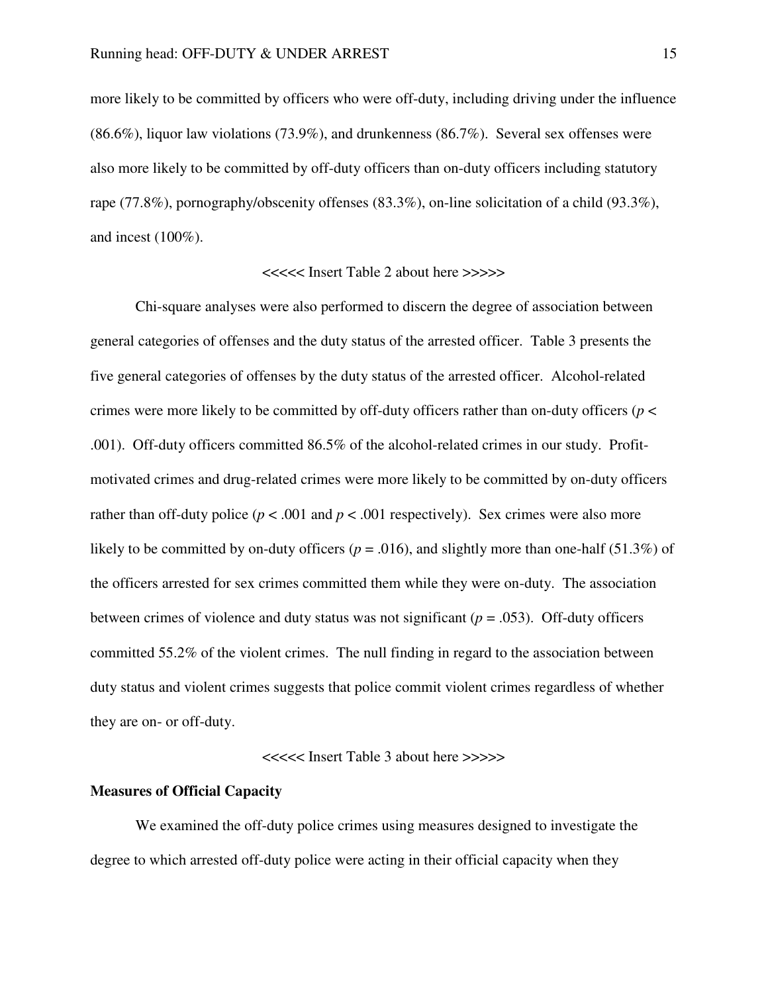more likely to be committed by officers who were off-duty, including driving under the influence (86.6%), liquor law violations (73.9%), and drunkenness (86.7%). Several sex offenses were also more likely to be committed by off-duty officers than on-duty officers including statutory rape (77.8%), pornography/obscenity offenses (83.3%), on-line solicitation of a child (93.3%), and incest (100%).

#### <<<<< Insert Table 2 about here >>>>>

 Chi-square analyses were also performed to discern the degree of association between general categories of offenses and the duty status of the arrested officer. Table 3 presents the five general categories of offenses by the duty status of the arrested officer. Alcohol-related crimes were more likely to be committed by off-duty officers rather than on-duty officers ( $p <$ .001). Off-duty officers committed 86.5% of the alcohol-related crimes in our study. Profitmotivated crimes and drug-related crimes were more likely to be committed by on-duty officers rather than off-duty police ( $p < .001$  and  $p < .001$  respectively). Sex crimes were also more likely to be committed by on-duty officers ( $p = .016$ ), and slightly more than one-half (51.3%) of the officers arrested for sex crimes committed them while they were on-duty. The association between crimes of violence and duty status was not significant (*p* = .053). Off-duty officers committed 55.2% of the violent crimes. The null finding in regard to the association between duty status and violent crimes suggests that police commit violent crimes regardless of whether they are on- or off-duty.

<<<<< Insert Table 3 about here >>>>>

## **Measures of Official Capacity**

 We examined the off-duty police crimes using measures designed to investigate the degree to which arrested off-duty police were acting in their official capacity when they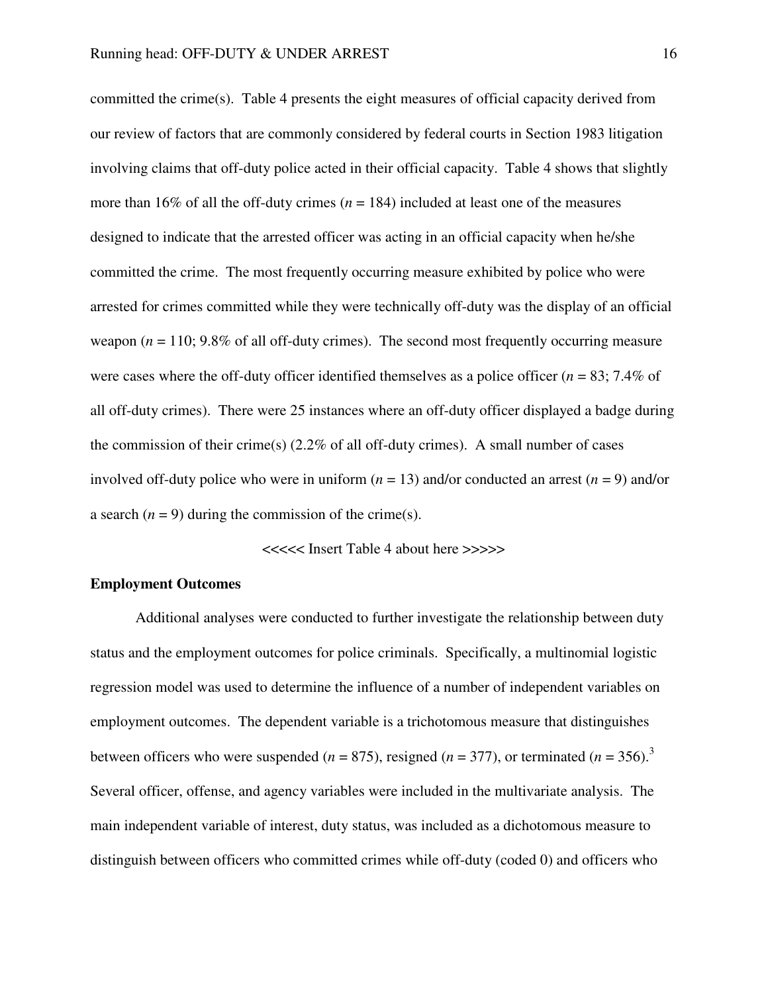committed the crime(s). Table 4 presents the eight measures of official capacity derived from our review of factors that are commonly considered by federal courts in Section 1983 litigation involving claims that off-duty police acted in their official capacity. Table 4 shows that slightly more than 16% of all the off-duty crimes  $(n = 184)$  included at least one of the measures designed to indicate that the arrested officer was acting in an official capacity when he/she committed the crime. The most frequently occurring measure exhibited by police who were arrested for crimes committed while they were technically off-duty was the display of an official weapon  $(n = 110; 9.8\%$  of all off-duty crimes). The second most frequently occurring measure were cases where the off-duty officer identified themselves as a police officer  $(n = 83; 7.4\%$  of all off-duty crimes). There were 25 instances where an off-duty officer displayed a badge during the commission of their crime(s)  $(2.2\%$  of all off-duty crimes). A small number of cases involved off-duty police who were in uniform  $(n = 13)$  and/or conducted an arrest  $(n = 9)$  and/or a search  $(n = 9)$  during the commission of the crime(s).

<<<<< Insert Table 4 about here >>>>>

#### **Employment Outcomes**

 Additional analyses were conducted to further investigate the relationship between duty status and the employment outcomes for police criminals. Specifically, a multinomial logistic regression model was used to determine the influence of a number of independent variables on employment outcomes. The dependent variable is a trichotomous measure that distinguishes between officers who were suspended ( $n = 875$ ), resigned ( $n = 377$ ), or terminated ( $n = 356$ ).<sup>3</sup> Several officer, offense, and agency variables were included in the multivariate analysis. The main independent variable of interest, duty status, was included as a dichotomous measure to distinguish between officers who committed crimes while off-duty (coded 0) and officers who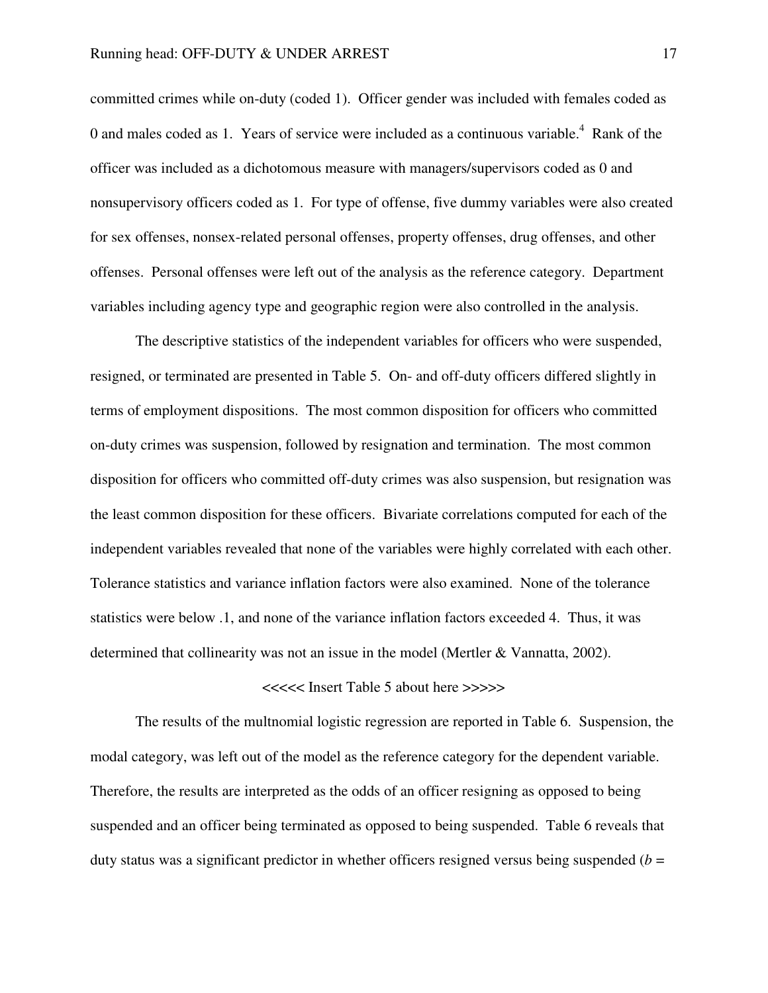committed crimes while on-duty (coded 1). Officer gender was included with females coded as 0 and males coded as 1. Years of service were included as a continuous variable.<sup>4</sup> Rank of the officer was included as a dichotomous measure with managers/supervisors coded as 0 and nonsupervisory officers coded as 1. For type of offense, five dummy variables were also created for sex offenses, nonsex-related personal offenses, property offenses, drug offenses, and other offenses. Personal offenses were left out of the analysis as the reference category. Department variables including agency type and geographic region were also controlled in the analysis.

 The descriptive statistics of the independent variables for officers who were suspended, resigned, or terminated are presented in Table 5. On- and off-duty officers differed slightly in terms of employment dispositions. The most common disposition for officers who committed on-duty crimes was suspension, followed by resignation and termination. The most common disposition for officers who committed off-duty crimes was also suspension, but resignation was the least common disposition for these officers. Bivariate correlations computed for each of the independent variables revealed that none of the variables were highly correlated with each other. Tolerance statistics and variance inflation factors were also examined. None of the tolerance statistics were below .1, and none of the variance inflation factors exceeded 4. Thus, it was determined that collinearity was not an issue in the model (Mertler & Vannatta, 2002).

#### <<<<< Insert Table 5 about here >>>>>

 The results of the multnomial logistic regression are reported in Table 6. Suspension, the modal category, was left out of the model as the reference category for the dependent variable. Therefore, the results are interpreted as the odds of an officer resigning as opposed to being suspended and an officer being terminated as opposed to being suspended. Table 6 reveals that duty status was a significant predictor in whether officers resigned versus being suspended  $(b =$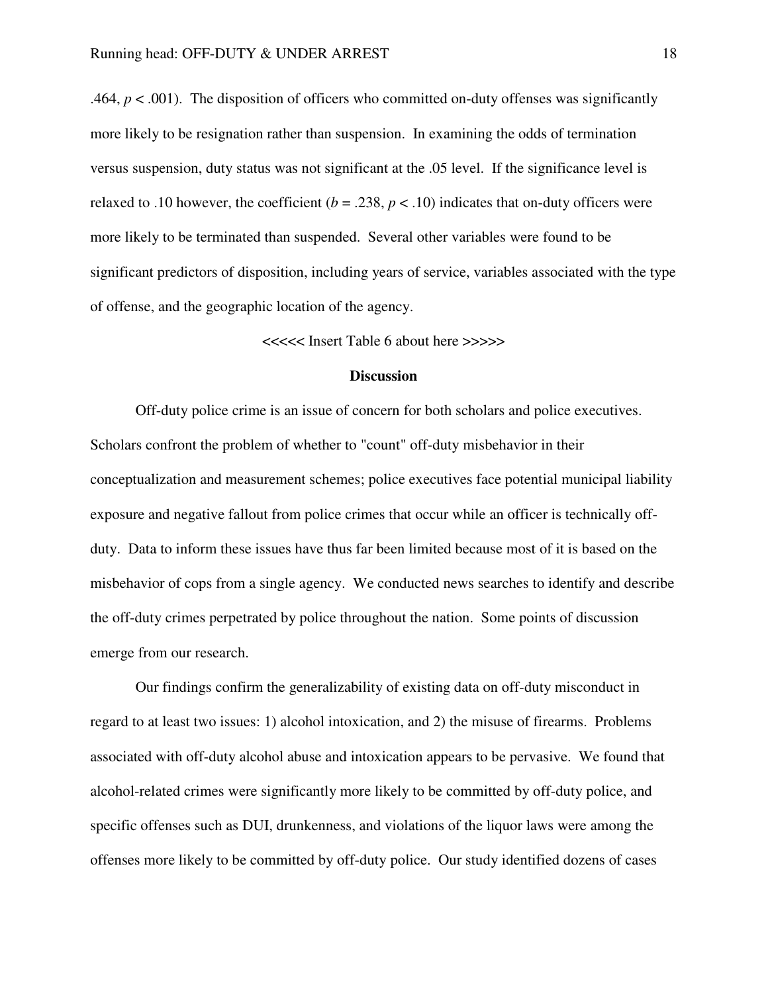.464,  $p < .001$ ). The disposition of officers who committed on-duty offenses was significantly more likely to be resignation rather than suspension. In examining the odds of termination versus suspension, duty status was not significant at the .05 level. If the significance level is relaxed to .10 however, the coefficient  $(b = .238, p < .10)$  indicates that on-duty officers were more likely to be terminated than suspended. Several other variables were found to be significant predictors of disposition, including years of service, variables associated with the type of offense, and the geographic location of the agency.

<<<<< Insert Table 6 about here >>>>>

## **Discussion**

 Off-duty police crime is an issue of concern for both scholars and police executives. Scholars confront the problem of whether to "count" off-duty misbehavior in their conceptualization and measurement schemes; police executives face potential municipal liability exposure and negative fallout from police crimes that occur while an officer is technically offduty. Data to inform these issues have thus far been limited because most of it is based on the misbehavior of cops from a single agency. We conducted news searches to identify and describe the off-duty crimes perpetrated by police throughout the nation. Some points of discussion emerge from our research.

 Our findings confirm the generalizability of existing data on off-duty misconduct in regard to at least two issues: 1) alcohol intoxication, and 2) the misuse of firearms. Problems associated with off-duty alcohol abuse and intoxication appears to be pervasive. We found that alcohol-related crimes were significantly more likely to be committed by off-duty police, and specific offenses such as DUI, drunkenness, and violations of the liquor laws were among the offenses more likely to be committed by off-duty police. Our study identified dozens of cases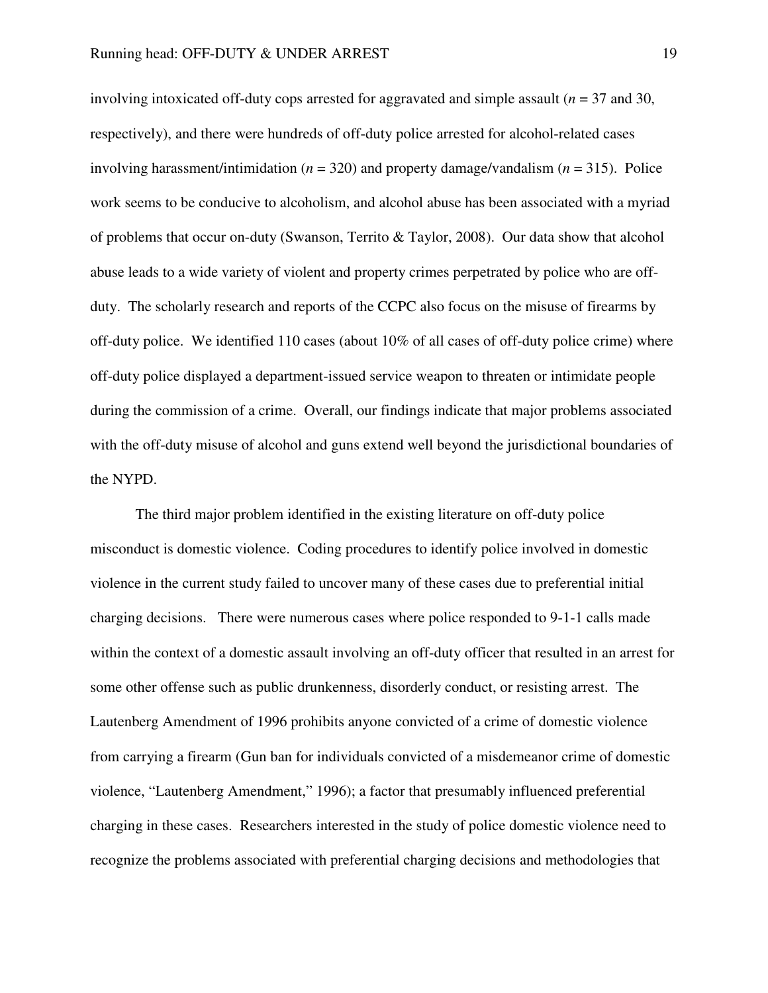involving intoxicated of f-duty cops arrested for aggravated and simple assault ( $n = 37$  and 30, respectively), and there were hundreds of off-duty police arrested for alcohol-related cases involving harassment/intimidation (*n* = 320) and property damage/vandalism (*n* = 315). Police work seems to be conducive to alcoholism, and alcohol abuse has been associated with a myriad of problems that occur on-duty (Swanson, Territo & Taylor, 2008). Our data show that alcohol abuse leads to a wide variety of violent and property crimes perpetrated by police who are offduty. The scholarly research and reports of the CCPC also focus on the misuse of firearms by off-duty police. We identified 110 cases (about 10% of all cases of off-duty police crime) where off-duty police displayed a department-issued service weapon to threaten or intimidate people during the commission of a crime. Overall, our findings indicate that major problems associated with the off-duty misuse of alcohol and guns extend well beyond the jurisdictional boundaries of the NYPD.

 The third major problem identified in the existing literature on off-duty police misconduct is domestic violence. Coding procedures to identify police involved in domestic violence in the current study failed to uncover many of these cases due to preferential initial charging decisions. There were numerous cases where police responded to 9-1-1 calls made within the context of a domestic assault involving an off-duty officer that resulted in an arrest for some other offense such as public drunkenness, disorderly conduct, or resisting arrest. The Lautenberg Amendment of 1996 prohibits anyone convicted of a crime of domestic violence from carrying a firearm (Gun ban for individuals convicted of a misdemeanor crime of domestic violence, "Lautenberg Amendment," 1996); a factor that presumably influenced preferential charging in these cases. Researchers interested in the study of police domestic violence need to recognize the problems associated with preferential charging decisions and methodologies that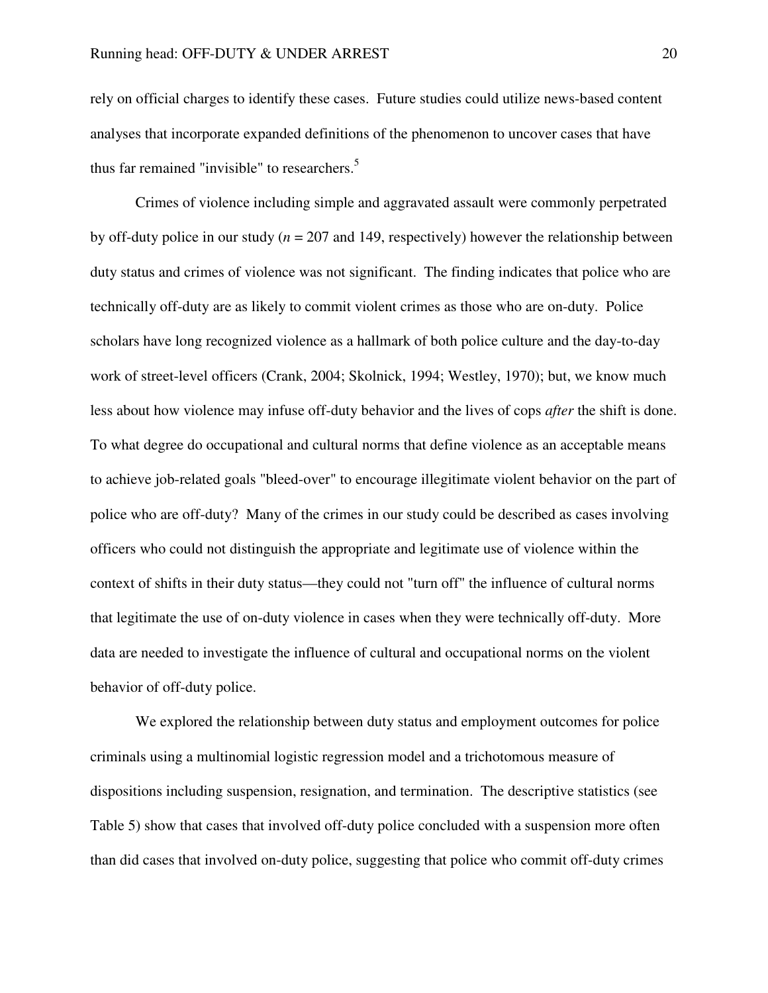rely on official charges to identify these cases. Future studies could utilize news-based content analyses that incorporate expanded definitions of the phenomenon to uncover cases that have thus far remained "invisible" to researchers. $5$ 

 Crimes of violence including simple and aggravated assault were commonly perpetrated by off-duty police in our study (*n* = 207 and 149, respectively) however the relationship between duty status and crimes of violence was not significant. The finding indicates that police who are technically off-duty are as likely to commit violent crimes as those who are on-duty. Police scholars have long recognized violence as a hallmark of both police culture and the day-to-day work of street-level officers (Crank, 2004; Skolnick, 1994; Westley, 1970); but, we know much less about how violence may infuse off-duty behavior and the lives of cops *after* the shift is done. To what degree do occupational and cultural norms that define violence as an acceptable means to achieve job-related goals "bleed-over" to encourage illegitimate violent behavior on the part of police who are off-duty? Many of the crimes in our study could be described as cases involving officers who could not distinguish the appropriate and legitimate use of violence within the context of shifts in their duty status—they could not "turn off" the influence of cultural norms that legitimate the use of on-duty violence in cases when they were technically off-duty. More data are needed to investigate the influence of cultural and occupational norms on the violent behavior of off-duty police.

 We explored the relationship between duty status and employment outcomes for police criminals using a multinomial logistic regression model and a trichotomous measure of dispositions including suspension, resignation, and termination. The descriptive statistics (see Table 5) show that cases that involved off-duty police concluded with a suspension more often than did cases that involved on-duty police, suggesting that police who commit off-duty crimes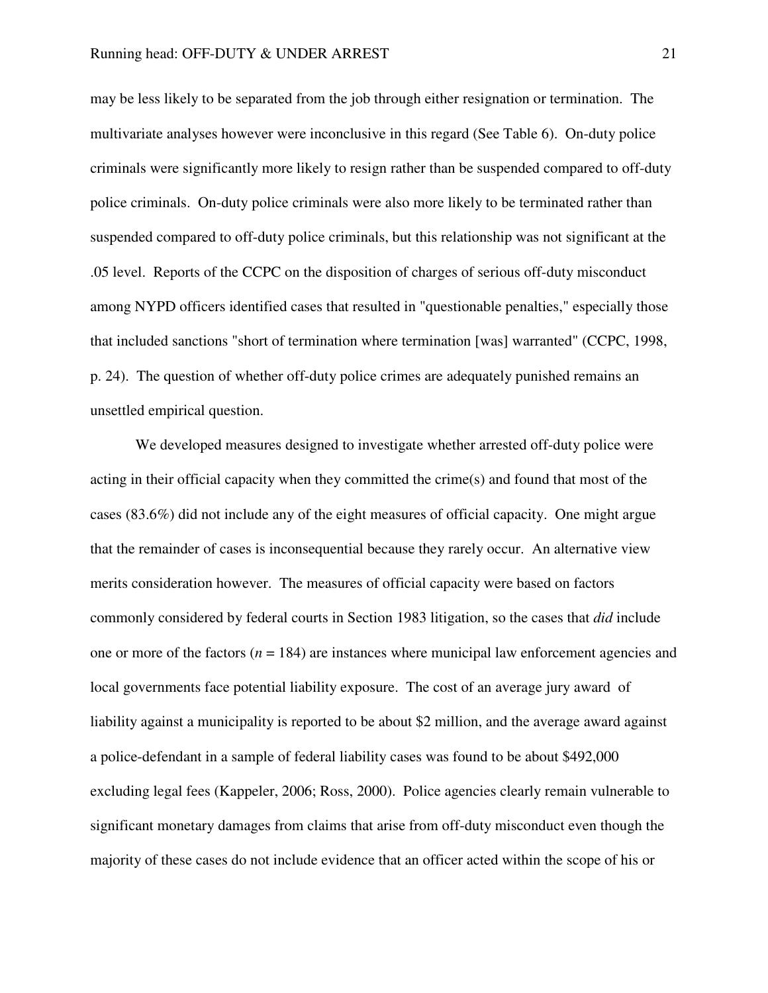may be less likely to be separated from the job through either resignation or termination. The multivariate analyses however were inconclusive in this regard (See Table 6). On-duty police criminals were significantly more likely to resign rather than be suspended compared to off-duty police criminals. On-duty police criminals were also more likely to be terminated rather than suspended compared to off-duty police criminals, but this relationship was not significant at the .05 level. Reports of the CCPC on the disposition of charges of serious off-duty misconduct among NYPD officers identified cases that resulted in "questionable penalties," especially those that included sanctions "short of termination where termination [was] warranted" (CCPC, 1998, p. 24). The question of whether off-duty police crimes are adequately punished remains an unsettled empirical question.

 We developed measures designed to investigate whether arrested off-duty police were acting in their official capacity when they committed the crime(s) and found that most of the cases (83.6%) did not include any of the eight measures of official capacity. One might argue that the remainder of cases is inconsequential because they rarely occur. An alternative view merits consideration however. The measures of official capacity were based on factors commonly considered by federal courts in Section 1983 litigation, so the cases that *did* include one or more of the factors  $(n = 184)$  are instances where municipal law enforcement agencies and local governments face potential liability exposure. The cost of an average jury award of liability against a municipality is reported to be about \$2 million, and the average award against a police-defendant in a sample of federal liability cases was found to be about \$492,000 excluding legal fees (Kappeler, 2006; Ross, 2000). Police agencies clearly remain vulnerable to significant monetary damages from claims that arise from off-duty misconduct even though the majority of these cases do not include evidence that an officer acted within the scope of his or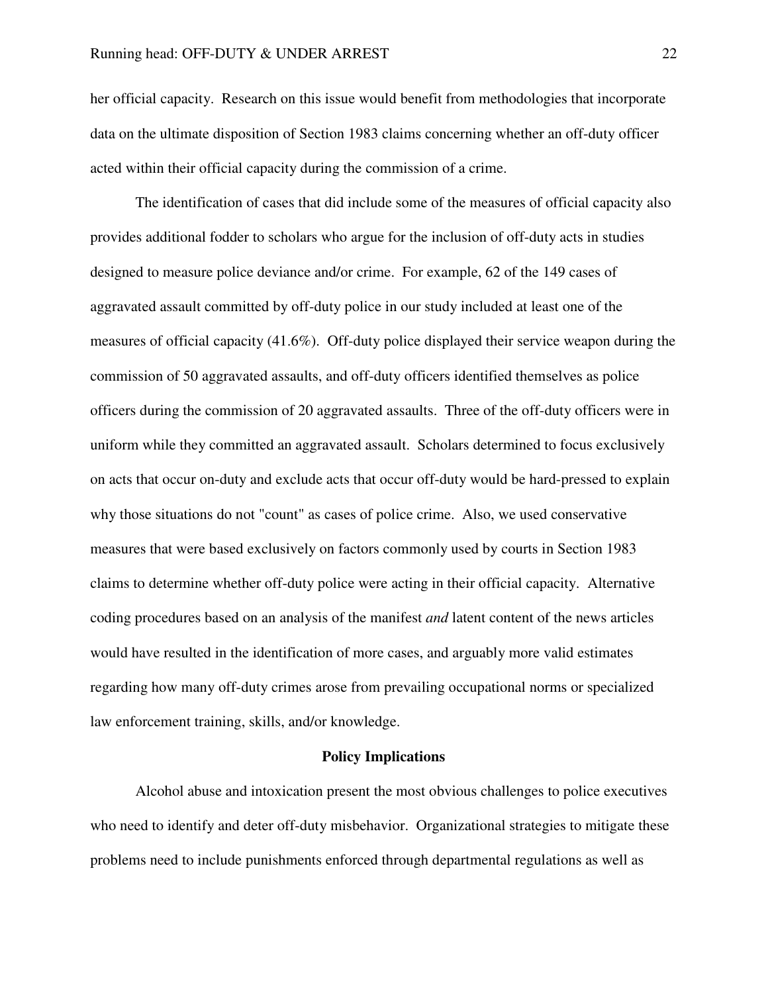her official capacity. Research on this issue would benefit from methodologies that incorporate data on the ultimate disposition of Section 1983 claims concerning whether an off-duty officer acted within their official capacity during the commission of a crime.

 The identification of cases that did include some of the measures of official capacity also provides additional fodder to scholars who argue for the inclusion of off-duty acts in studies designed to measure police deviance and/or crime. For example, 62 of the 149 cases of aggravated assault committed by off-duty police in our study included at least one of the measures of official capacity (41.6%). Off-duty police displayed their service weapon during the commission of 50 aggravated assaults, and off-duty officers identified themselves as police officers during the commission of 20 aggravated assaults. Three of the off-duty officers were in uniform while they committed an aggravated assault. Scholars determined to focus exclusively on acts that occur on-duty and exclude acts that occur off-duty would be hard-pressed to explain why those situations do not "count" as cases of police crime. Also, we used conservative measures that were based exclusively on factors commonly used by courts in Section 1983 claims to determine whether off-duty police were acting in their official capacity. Alternative coding procedures based on an analysis of the manifest *and* latent content of the news articles would have resulted in the identification of more cases, and arguably more valid estimates regarding how many off-duty crimes arose from prevailing occupational norms or specialized law enforcement training, skills, and/or knowledge.

#### **Policy Implications**

Alcohol abuse and intoxication present the most obvious challenges to police executives who need to identify and deter off-duty misbehavior. Organizational strategies to mitigate these problems need to include punishments enforced through departmental regulations as well as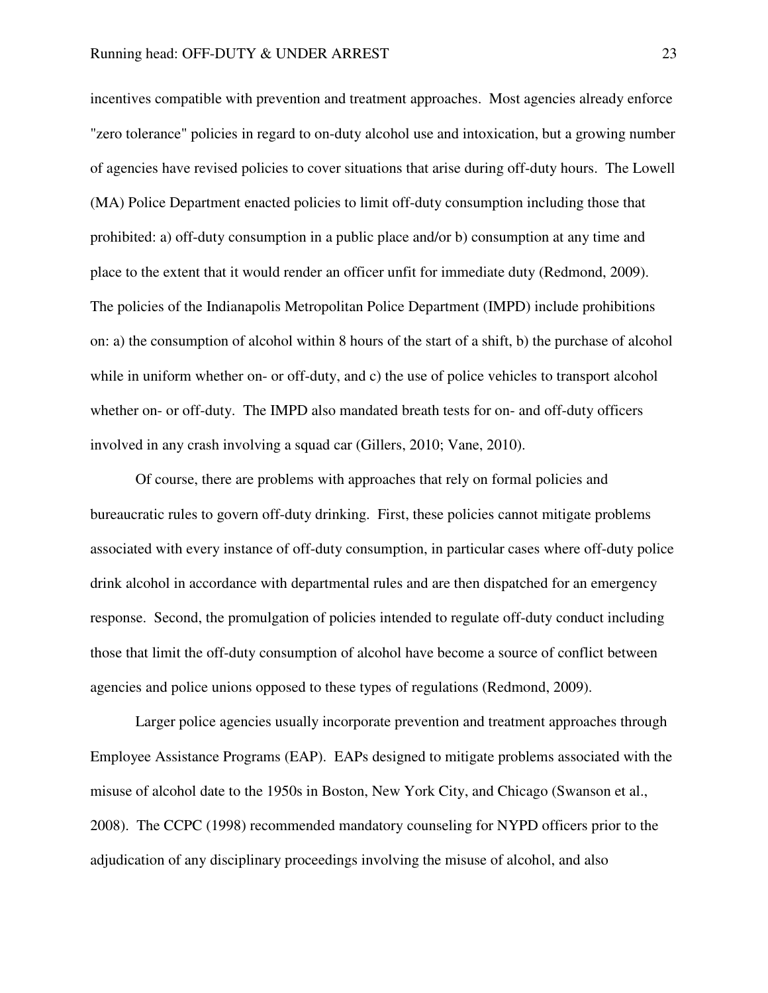incentives compatible with prevention and treatment approaches. Most agencies already enforce "zero tolerance" policies in regard to on-duty alcohol use and intoxication, but a growing number of agencies have revised policies to cover situations that arise during off-duty hours. The Lowell (MA) Police Department enacted policies to limit off-duty consumption including those that prohibited: a) off-duty consumption in a public place and/or b) consumption at any time and place to the extent that it would render an officer unfit for immediate duty (Redmond, 2009). The policies of the Indianapolis Metropolitan Police Department (IMPD) include prohibitions on: a) the consumption of alcohol within 8 hours of the start of a shift, b) the purchase of alcohol while in uniform whether on- or off-duty, and c) the use of police vehicles to transport alcohol whether on- or off-duty. The IMPD also mandated breath tests for on- and off-duty officers involved in any crash involving a squad car (Gillers, 2010; Vane, 2010).

Of course, there are problems with approaches that rely on formal policies and bureaucratic rules to govern off-duty drinking. First, these policies cannot mitigate problems associated with every instance of off-duty consumption, in particular cases where off-duty police drink alcohol in accordance with departmental rules and are then dispatched for an emergency response. Second, the promulgation of policies intended to regulate off-duty conduct including those that limit the off-duty consumption of alcohol have become a source of conflict between agencies and police unions opposed to these types of regulations (Redmond, 2009).

Larger police agencies usually incorporate prevention and treatment approaches through Employee Assistance Programs (EAP). EAPs designed to mitigate problems associated with the misuse of alcohol date to the 1950s in Boston, New York City, and Chicago (Swanson et al., 2008). The CCPC (1998) recommended mandatory counseling for NYPD officers prior to the adjudication of any disciplinary proceedings involving the misuse of alcohol, and also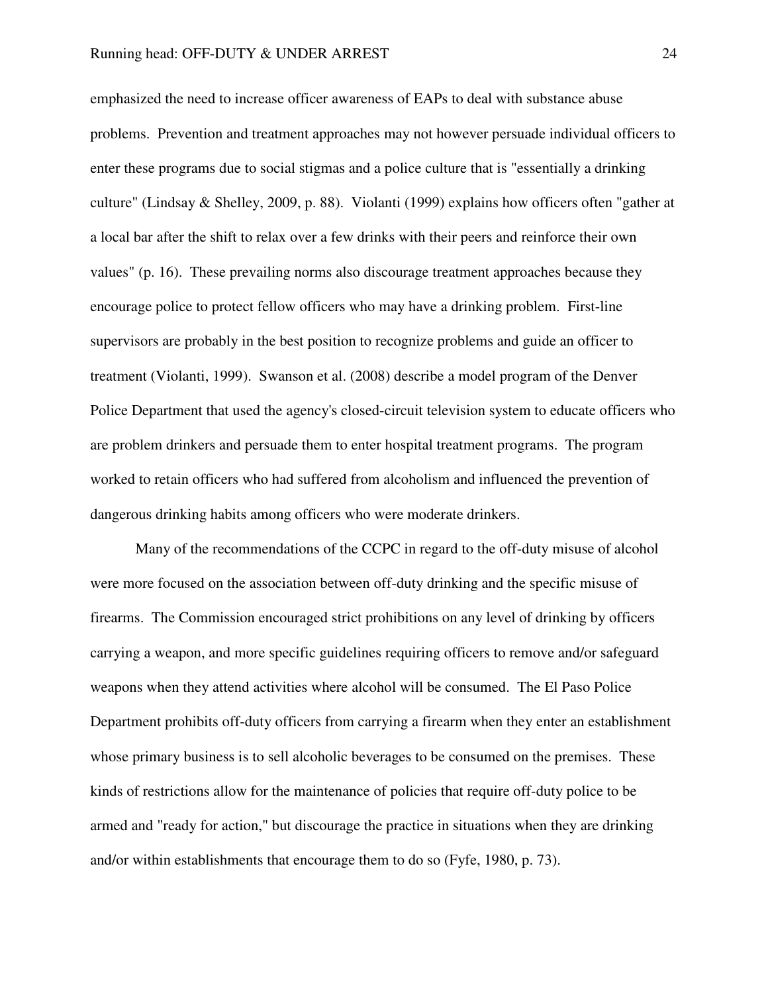emphasized the need to increase officer awareness of EAPs to deal with substance abuse problems. Prevention and treatment approaches may not however persuade individual officers to enter these programs due to social stigmas and a police culture that is "essentially a drinking culture" (Lindsay & Shelley, 2009, p. 88). Violanti (1999) explains how officers often "gather at a local bar after the shift to relax over a few drinks with their peers and reinforce their own values" (p. 16). These prevailing norms also discourage treatment approaches because they encourage police to protect fellow officers who may have a drinking problem. First-line supervisors are probably in the best position to recognize problems and guide an officer to treatment (Violanti, 1999). Swanson et al. (2008) describe a model program of the Denver Police Department that used the agency's closed-circuit television system to educate officers who are problem drinkers and persuade them to enter hospital treatment programs. The program worked to retain officers who had suffered from alcoholism and influenced the prevention of dangerous drinking habits among officers who were moderate drinkers.

Many of the recommendations of the CCPC in regard to the off-duty misuse of alcohol were more focused on the association between off-duty drinking and the specific misuse of firearms. The Commission encouraged strict prohibitions on any level of drinking by officers carrying a weapon, and more specific guidelines requiring officers to remove and/or safeguard weapons when they attend activities where alcohol will be consumed. The El Paso Police Department prohibits off-duty officers from carrying a firearm when they enter an establishment whose primary business is to sell alcoholic beverages to be consumed on the premises. These kinds of restrictions allow for the maintenance of policies that require off-duty police to be armed and "ready for action," but discourage the practice in situations when they are drinking and/or within establishments that encourage them to do so (Fyfe, 1980, p. 73).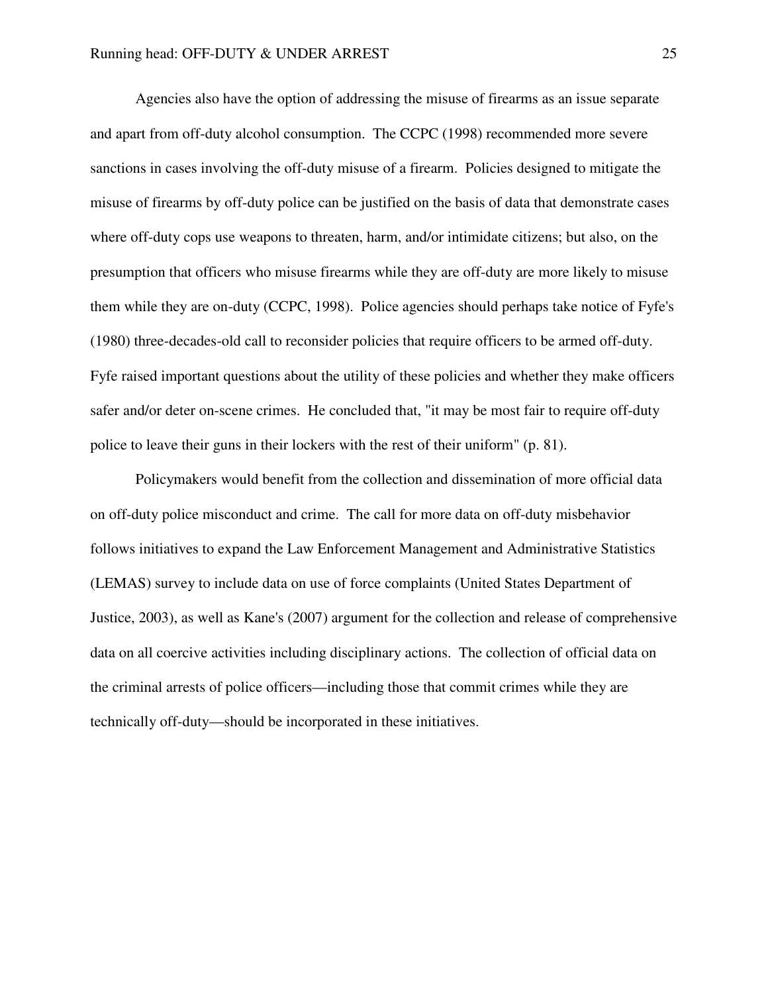Agencies also have the option of addressing the misuse of firearms as an issue separate and apart from off-duty alcohol consumption. The CCPC (1998) recommended more severe sanctions in cases involving the off-duty misuse of a firearm. Policies designed to mitigate the misuse of firearms by off-duty police can be justified on the basis of data that demonstrate cases where off-duty cops use weapons to threaten, harm, and/or intimidate citizens; but also, on the presumption that officers who misuse firearms while they are off-duty are more likely to misuse them while they are on-duty (CCPC, 1998). Police agencies should perhaps take notice of Fyfe's (1980) three-decades-old call to reconsider policies that require officers to be armed off-duty. Fyfe raised important questions about the utility of these policies and whether they make officers safer and/or deter on-scene crimes. He concluded that, "it may be most fair to require off-duty police to leave their guns in their lockers with the rest of their uniform" (p. 81).

Policymakers would benefit from the collection and dissemination of more official data on off-duty police misconduct and crime. The call for more data on off-duty misbehavior follows initiatives to expand the Law Enforcement Management and Administrative Statistics (LEMAS) survey to include data on use of force complaints (United States Department of Justice, 2003), as well as Kane's (2007) argument for the collection and release of comprehensive data on all coercive activities including disciplinary actions. The collection of official data on the criminal arrests of police officers—including those that commit crimes while they are technically off-duty—should be incorporated in these initiatives.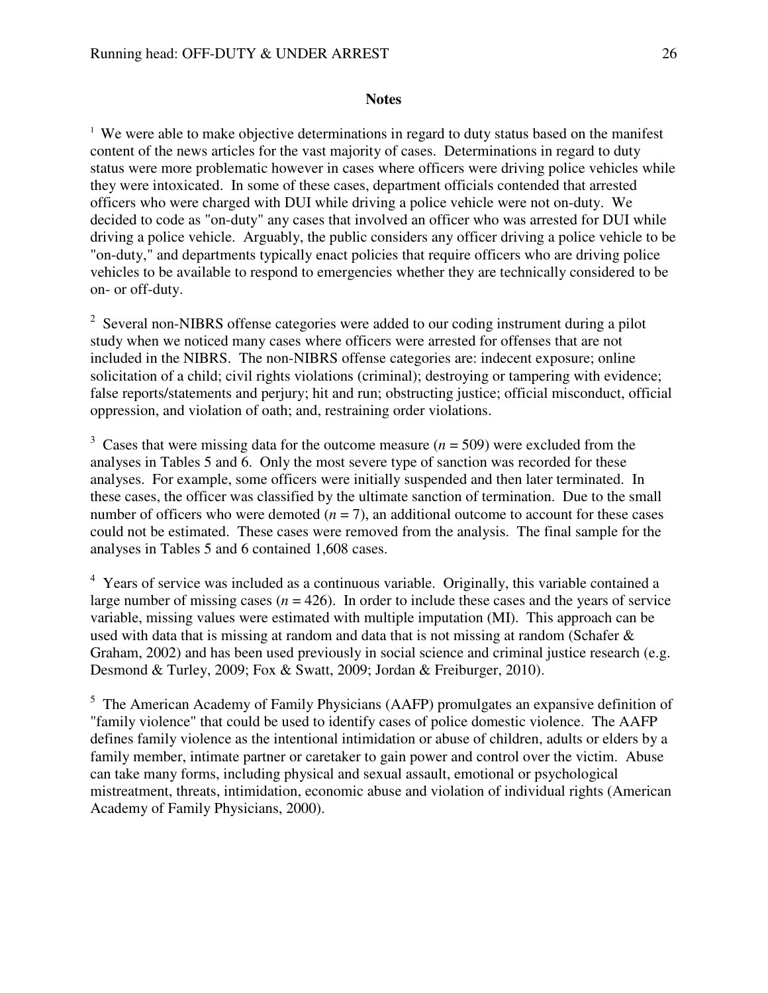#### **Notes**

<sup>1</sup> We were able to make objective determinations in regard to duty status based on the manifest content of the news articles for the vast majority of cases. Determinations in regard to duty status were more problematic however in cases where officers were driving police vehicles while they were intoxicated. In some of these cases, department officials contended that arrested officers who were charged with DUI while driving a police vehicle were not on-duty. We decided to code as "on-duty" any cases that involved an officer who was arrested for DUI while driving a police vehicle. Arguably, the public considers any officer driving a police vehicle to be "on-duty," and departments typically enact policies that require officers who are driving police vehicles to be available to respond to emergencies whether they are technically considered to be on- or off-duty.

<sup>2</sup> Several non-NIBRS offense categories were added to our coding instrument during a pilot study when we noticed many cases where officers were arrested for offenses that are not included in the NIBRS. The non-NIBRS offense categories are: indecent exposure; online solicitation of a child; civil rights violations (criminal); destroying or tampering with evidence; false reports/statements and perjury; hit and run; obstructing justice; official misconduct, official oppression, and violation of oath; and, restraining order violations.

<sup>3</sup> Cases that were missing data for the outcome measure  $(n = 509)$  were excluded from the analyses in Tables 5 and 6. Only the most severe type of sanction was recorded for these analyses. For example, some officers were initially suspended and then later terminated. In these cases, the officer was classified by the ultimate sanction of termination. Due to the small number of officers who were demoted  $(n = 7)$ , an additional outcome to account for these cases could not be estimated. These cases were removed from the analysis. The final sample for the analyses in Tables 5 and 6 contained 1,608 cases.

<sup>4</sup> Years of service was included as a continuous variable. Originally, this variable contained a large number of missing cases  $(n = 426)$ . In order to include these cases and the years of service variable, missing values were estimated with multiple imputation (MI). This approach can be used with data that is missing at random and data that is not missing at random (Schafer & Graham, 2002) and has been used previously in social science and criminal justice research (e.g. Desmond & Turley, 2009; Fox & Swatt, 2009; Jordan & Freiburger, 2010).

<sup>5</sup> The American Academy of Family Physicians (AAFP) promulgates an expansive definition of "family violence" that could be used to identify cases of police domestic violence. The AAFP defines family violence as the intentional intimidation or abuse of children, adults or elders by a family member, intimate partner or caretaker to gain power and control over the victim. Abuse can take many forms, including physical and sexual assault, emotional or psychological mistreatment, threats, intimidation, economic abuse and violation of individual rights (American Academy of Family Physicians, 2000).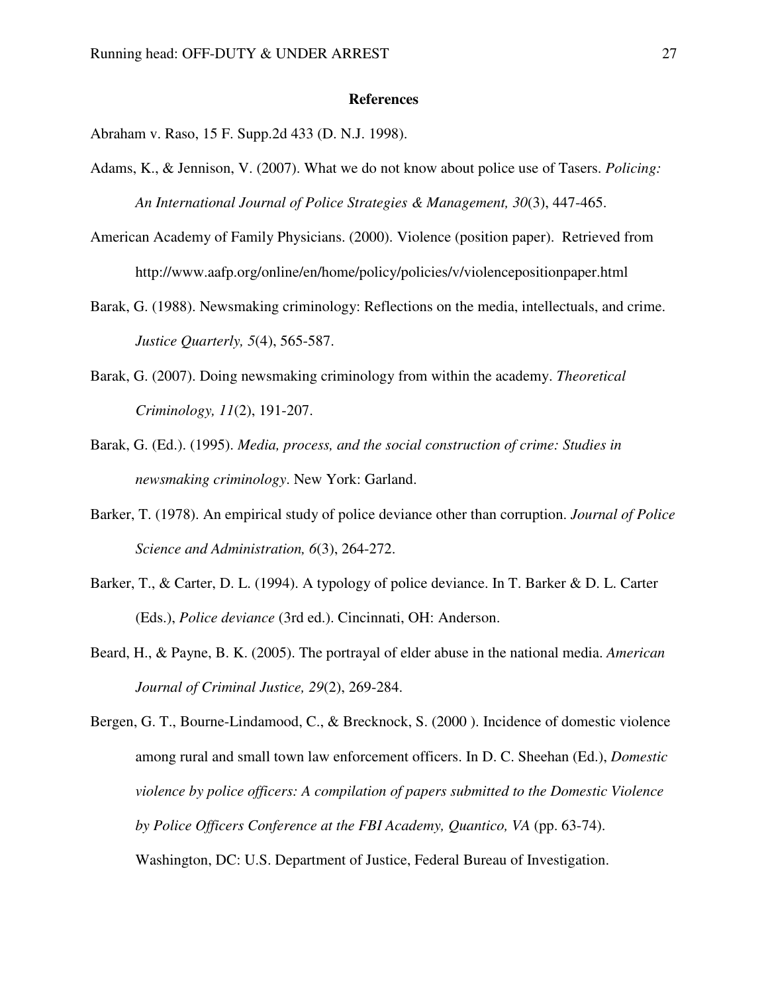#### **References**

Abraham v. Raso, 15 F. Supp.2d 433 (D. N.J. 1998).

- Adams, K., & Jennison, V. (2007). What we do not know about police use of Tasers. *Policing: An International Journal of Police Strategies & Management, 30*(3), 447-465.
- American Academy of Family Physicians. (2000). Violence (position paper). Retrieved from http://www.aafp.org/online/en/home/policy/policies/v/violencepositionpaper.html
- Barak, G. (1988). Newsmaking criminology: Reflections on the media, intellectuals, and crime. *Justice Quarterly, 5*(4), 565-587.
- Barak, G. (2007). Doing newsmaking criminology from within the academy. *Theoretical Criminology, 11*(2), 191-207.
- Barak, G. (Ed.). (1995). *Media, process, and the social construction of crime: Studies in newsmaking criminology*. New York: Garland.
- Barker, T. (1978). An empirical study of police deviance other than corruption. *Journal of Police Science and Administration, 6*(3), 264-272.
- Barker, T., & Carter, D. L. (1994). A typology of police deviance. In T. Barker & D. L. Carter (Eds.), *Police deviance* (3rd ed.). Cincinnati, OH: Anderson.
- Beard, H., & Payne, B. K. (2005). The portrayal of elder abuse in the national media. *American Journal of Criminal Justice, 29*(2), 269-284.

Bergen, G. T., Bourne-Lindamood, C., & Brecknock, S. (2000 ). Incidence of domestic violence among rural and small town law enforcement officers. In D. C. Sheehan (Ed.), *Domestic violence by police officers: A compilation of papers submitted to the Domestic Violence by Police Officers Conference at the FBI Academy, Quantico, VA* (pp. 63-74). Washington, DC: U.S. Department of Justice, Federal Bureau of Investigation.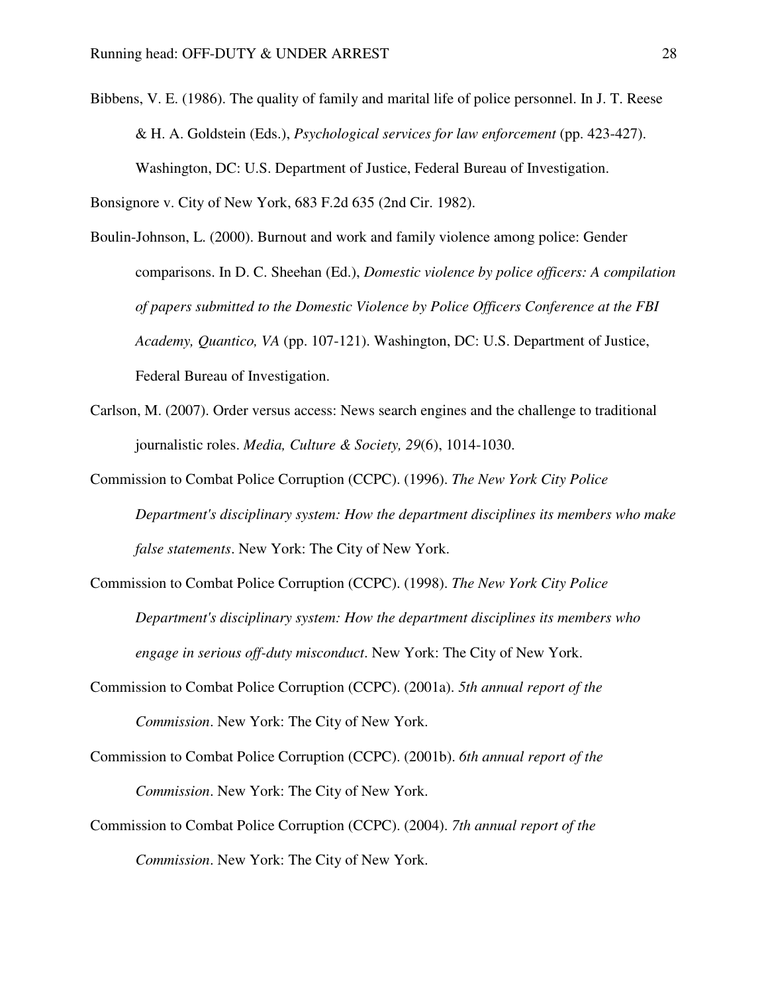Bibbens, V. E. (1986). The quality of family and marital life of police personnel. In J. T. Reese & H. A. Goldstein (Eds.), *Psychological services for law enforcement* (pp. 423-427). Washington, DC: U.S. Department of Justice, Federal Bureau of Investigation.

Bonsignore v. City of New York, 683 F.2d 635 (2nd Cir. 1982).

- Boulin-Johnson, L. (2000). Burnout and work and family violence among police: Gender comparisons. In D. C. Sheehan (Ed.), *Domestic violence by police officers: A compilation of papers submitted to the Domestic Violence by Police Officers Conference at the FBI Academy, Quantico, VA* (pp. 107-121). Washington, DC: U.S. Department of Justice, Federal Bureau of Investigation.
- Carlson, M. (2007). Order versus access: News search engines and the challenge to traditional journalistic roles. *Media, Culture & Society, 29*(6), 1014-1030.
- Commission to Combat Police Corruption (CCPC). (1996). *The New York City Police Department's disciplinary system: How the department disciplines its members who make false statements*. New York: The City of New York.
- Commission to Combat Police Corruption (CCPC). (1998). *The New York City Police Department's disciplinary system: How the department disciplines its members who engage in serious off-duty misconduct*. New York: The City of New York.
- Commission to Combat Police Corruption (CCPC). (2001a). *5th annual report of the Commission*. New York: The City of New York.
- Commission to Combat Police Corruption (CCPC). (2001b). *6th annual report of the Commission*. New York: The City of New York.
- Commission to Combat Police Corruption (CCPC). (2004). *7th annual report of the Commission*. New York: The City of New York.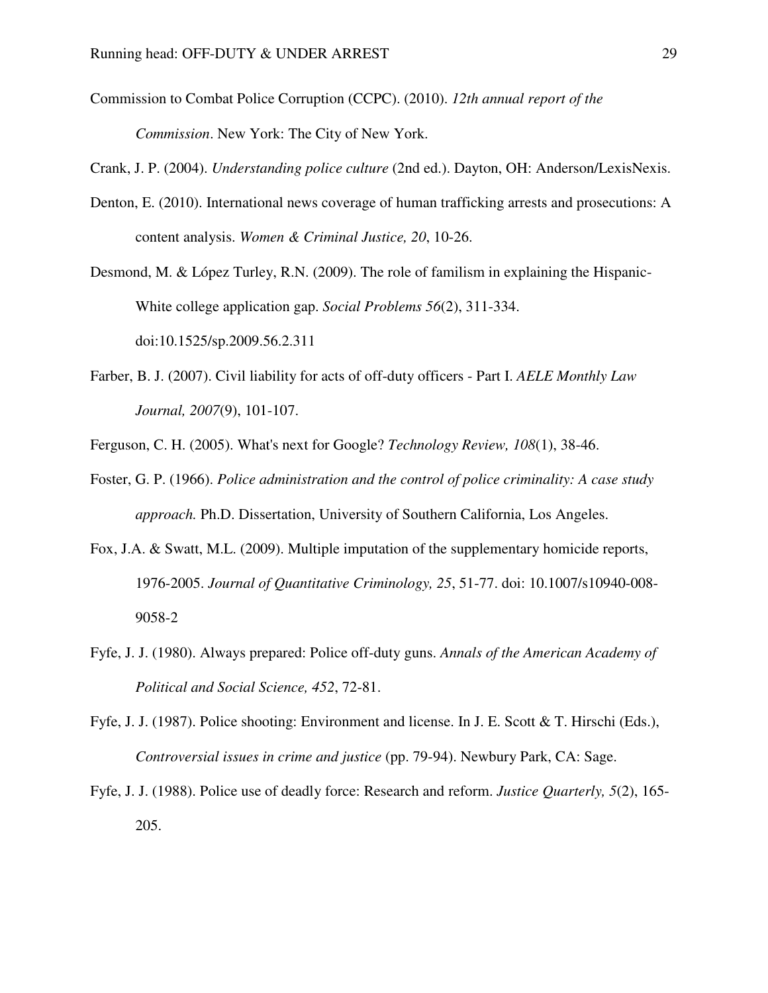Commission to Combat Police Corruption (CCPC). (2010). *12th annual report of the Commission*. New York: The City of New York.

Crank, J. P. (2004). *Understanding police culture* (2nd ed.). Dayton, OH: Anderson/LexisNexis.

Denton, E. (2010). International news coverage of human trafficking arrests and prosecutions: A content analysis. *Women & Criminal Justice, 20*, 10-26.

Desmond, M. & López Turley, R.N. (2009). The role of familism in explaining the Hispanic-White college application gap. *Social Problems 56*(2), 311-334. doi:10.1525/sp.2009.56.2.311

- Farber, B. J. (2007). Civil liability for acts of off-duty officers Part I. *AELE Monthly Law Journal, 2007*(9), 101-107.
- Ferguson, C. H. (2005). What's next for Google? *Technology Review, 108*(1), 38-46.
- Foster, G. P. (1966). *Police administration and the control of police criminality: A case study approach.* Ph.D. Dissertation, University of Southern California, Los Angeles.
- Fox, J.A. & Swatt, M.L. (2009). Multiple imputation of the supplementary homicide reports, 1976-2005. *Journal of Quantitative Criminology, 25*, 51-77. doi: 10.1007/s10940-008- 9058-2
- Fyfe, J. J. (1980). Always prepared: Police off-duty guns. *Annals of the American Academy of Political and Social Science, 452*, 72-81.
- Fyfe, J. J. (1987). Police shooting: Environment and license. In J. E. Scott & T. Hirschi (Eds.), *Controversial issues in crime and justice* (pp. 79-94). Newbury Park, CA: Sage.
- Fyfe, J. J. (1988). Police use of deadly force: Research and reform. *Justice Quarterly, 5*(2), 165- 205.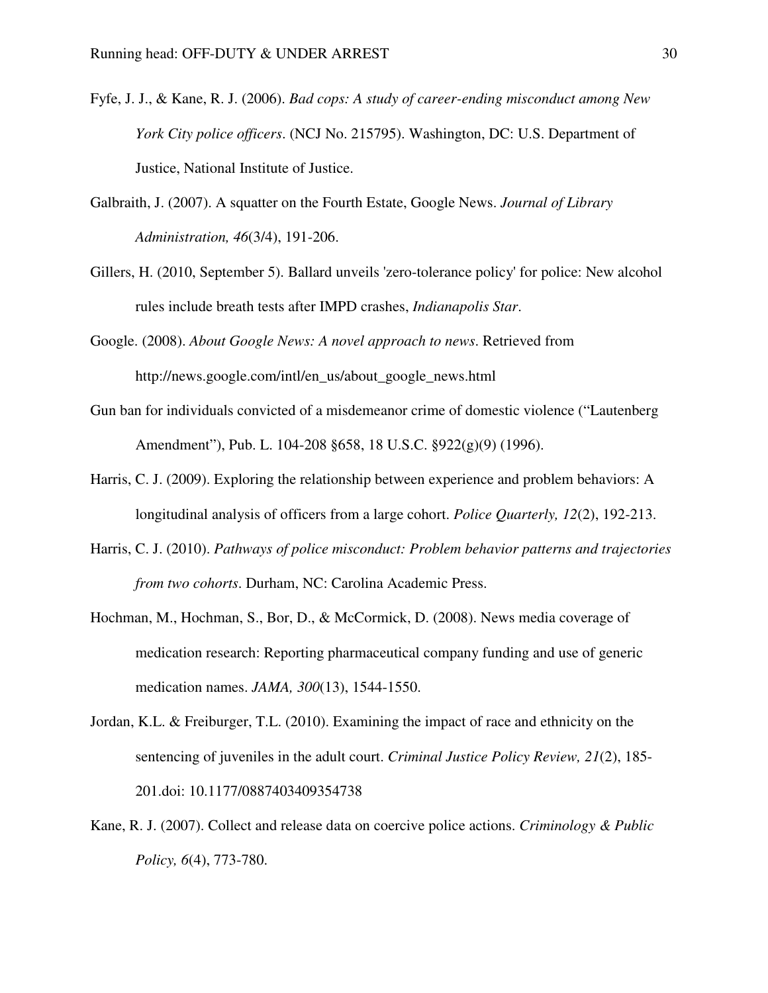- Fyfe, J. J., & Kane, R. J. (2006). *Bad cops: A study of career-ending misconduct among New York City police officers*. (NCJ No. 215795). Washington, DC: U.S. Department of Justice, National Institute of Justice.
- Galbraith, J. (2007). A squatter on the Fourth Estate, Google News. *Journal of Library Administration, 46*(3/4), 191-206.
- Gillers, H. (2010, September 5). Ballard unveils 'zero-tolerance policy' for police: New alcohol rules include breath tests after IMPD crashes, *Indianapolis Star*.
- Google. (2008). *About Google News: A novel approach to news*. Retrieved from http://news.google.com/intl/en\_us/about\_google\_news.html
- Gun ban for individuals convicted of a misdemeanor crime of domestic violence ("Lautenberg Amendment"), Pub. L. 104-208 §658, 18 U.S.C. §922(g)(9) (1996).
- Harris, C. J. (2009). Exploring the relationship between experience and problem behaviors: A longitudinal analysis of officers from a large cohort. *Police Quarterly, 12*(2), 192-213.
- Harris, C. J. (2010). *Pathways of police misconduct: Problem behavior patterns and trajectories from two cohorts*. Durham, NC: Carolina Academic Press.
- Hochman, M., Hochman, S., Bor, D., & McCormick, D. (2008). News media coverage of medication research: Reporting pharmaceutical company funding and use of generic medication names. *JAMA, 300*(13), 1544-1550.
- Jordan, K.L. & Freiburger, T.L. (2010). Examining the impact of race and ethnicity on the sentencing of juveniles in the adult court. *Criminal Justice Policy Review, 21*(2), 185- 201.doi: 10.1177/0887403409354738
- Kane, R. J. (2007). Collect and release data on coercive police actions. *Criminology & Public Policy, 6*(4), 773-780.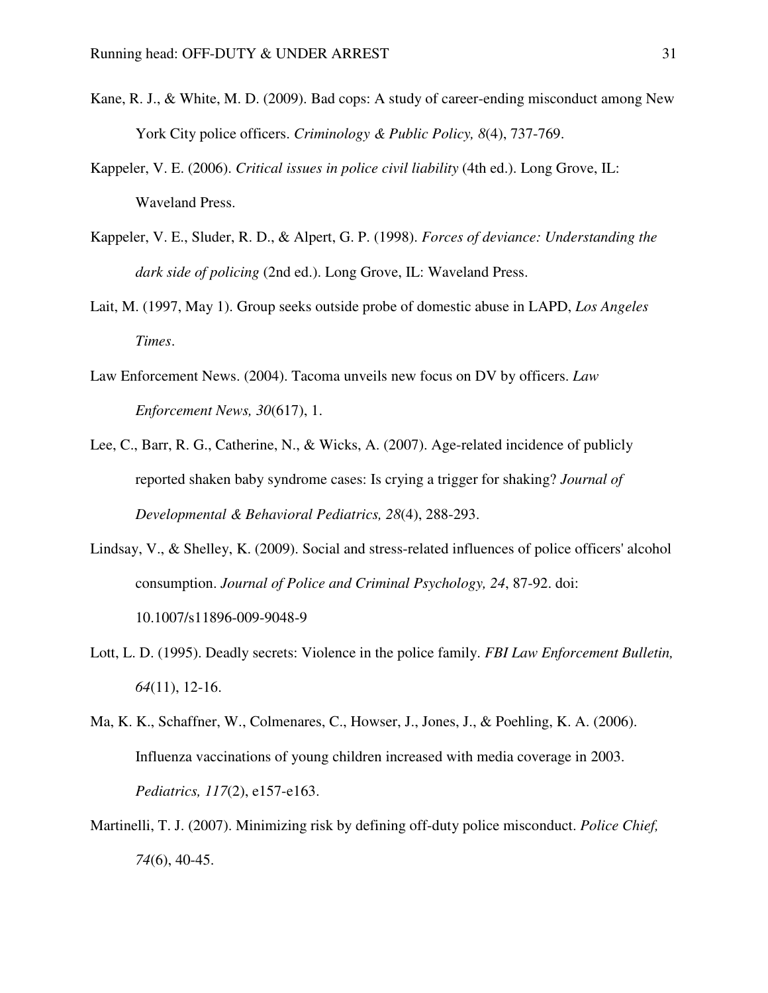- Kane, R. J., & White, M. D. (2009). Bad cops: A study of career-ending misconduct among New York City police officers. *Criminology & Public Policy, 8*(4), 737-769.
- Kappeler, V. E. (2006). *Critical issues in police civil liability* (4th ed.). Long Grove, IL: Waveland Press.
- Kappeler, V. E., Sluder, R. D., & Alpert, G. P. (1998). *Forces of deviance: Understanding the dark side of policing* (2nd ed.). Long Grove, IL: Waveland Press.
- Lait, M. (1997, May 1). Group seeks outside probe of domestic abuse in LAPD, *Los Angeles Times*.
- Law Enforcement News. (2004). Tacoma unveils new focus on DV by officers. *Law Enforcement News, 30*(617), 1.
- Lee, C., Barr, R. G., Catherine, N., & Wicks, A. (2007). Age-related incidence of publicly reported shaken baby syndrome cases: Is crying a trigger for shaking? *Journal of Developmental & Behavioral Pediatrics, 28*(4), 288-293.
- Lindsay, V., & Shelley, K. (2009). Social and stress-related influences of police officers' alcohol consumption. *Journal of Police and Criminal Psychology, 24*, 87-92. doi: 10.1007/s11896-009-9048-9
- Lott, L. D. (1995). Deadly secrets: Violence in the police family. *FBI Law Enforcement Bulletin, 64*(11), 12-16.
- Ma, K. K., Schaffner, W., Colmenares, C., Howser, J., Jones, J., & Poehling, K. A. (2006). Influenza vaccinations of young children increased with media coverage in 2003. *Pediatrics, 117*(2), e157-e163.
- Martinelli, T. J. (2007). Minimizing risk by defining off-duty police misconduct. *Police Chief, 74*(6), 40-45.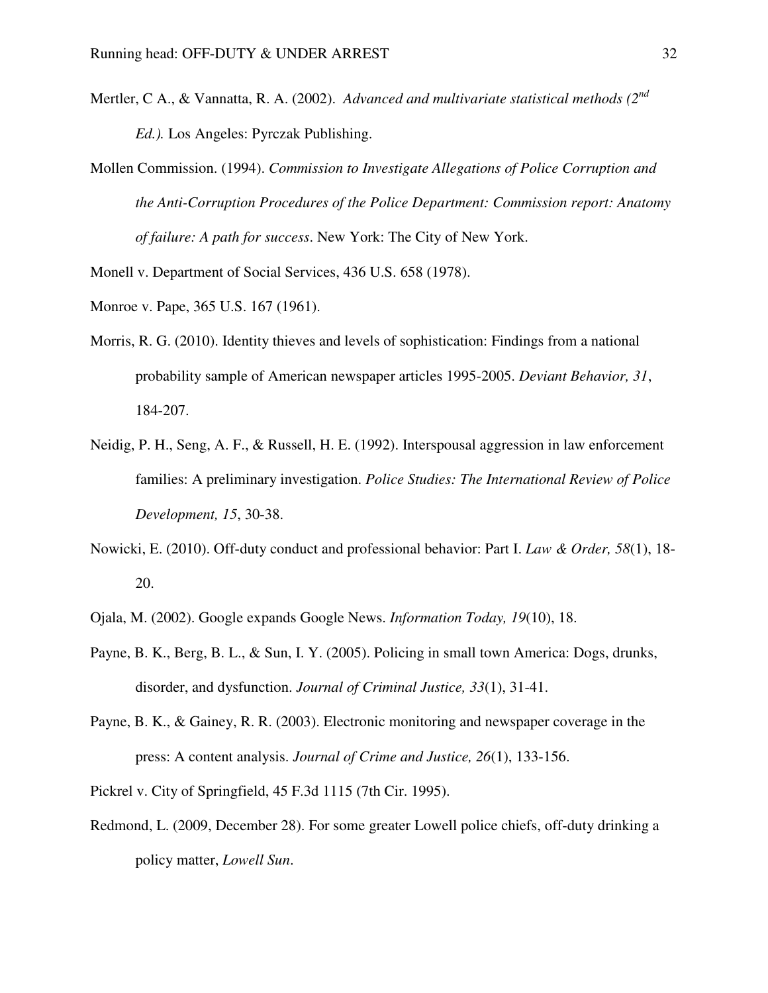- Mertler, C A., & Vannatta, R. A. (2002). *Advanced and multivariate statistical methods (2nd Ed.).* Los Angeles: Pyrczak Publishing.
- Mollen Commission. (1994). *Commission to Investigate Allegations of Police Corruption and the Anti-Corruption Procedures of the Police Department: Commission report: Anatomy of failure: A path for success*. New York: The City of New York.

Monell v. Department of Social Services, 436 U.S. 658 (1978).

- Monroe v. Pape, 365 U.S. 167 (1961).
- Morris, R. G. (2010). Identity thieves and levels of sophistication: Findings from a national probability sample of American newspaper articles 1995-2005. *Deviant Behavior, 31*, 184-207.
- Neidig, P. H., Seng, A. F., & Russell, H. E. (1992). Interspousal aggression in law enforcement families: A preliminary investigation. *Police Studies: The International Review of Police Development, 15*, 30-38.
- Nowicki, E. (2010). Off-duty conduct and professional behavior: Part I. *Law & Order, 58*(1), 18- 20.
- Ojala, M. (2002). Google expands Google News. *Information Today, 19*(10), 18.
- Payne, B. K., Berg, B. L., & Sun, I. Y. (2005). Policing in small town America: Dogs, drunks, disorder, and dysfunction. *Journal of Criminal Justice, 33*(1), 31-41.
- Payne, B. K., & Gainey, R. R. (2003). Electronic monitoring and newspaper coverage in the press: A content analysis. *Journal of Crime and Justice, 26*(1), 133-156.
- Pickrel v. City of Springfield, 45 F.3d 1115 (7th Cir. 1995).
- Redmond, L. (2009, December 28). For some greater Lowell police chiefs, off-duty drinking a policy matter, *Lowell Sun*.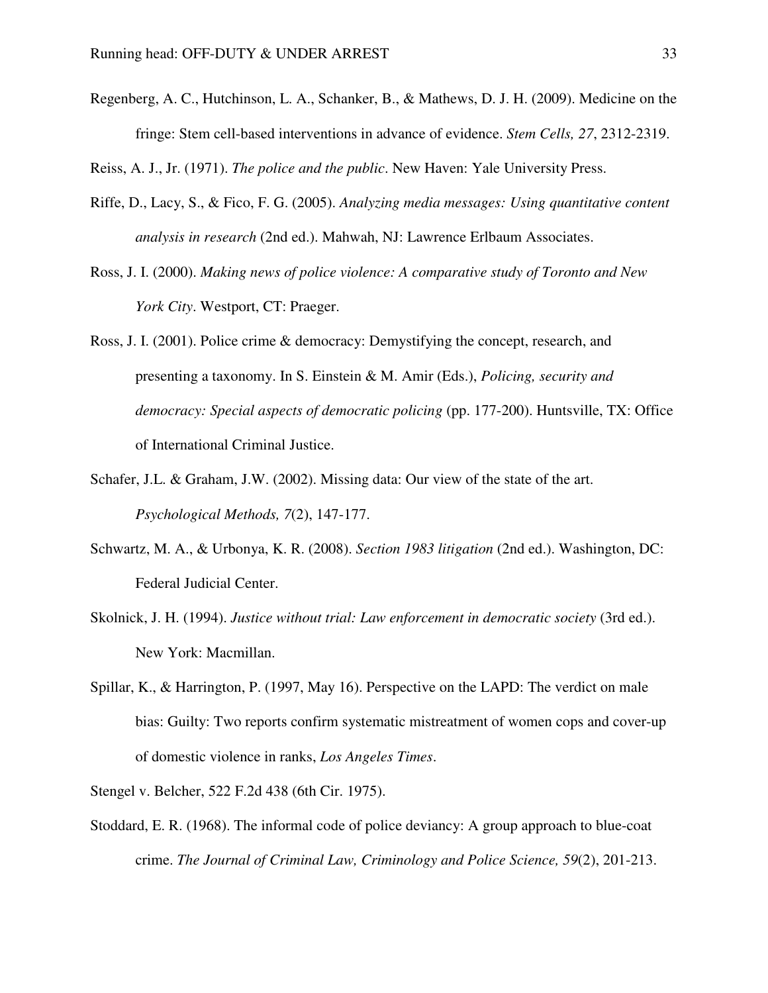Regenberg, A. C., Hutchinson, L. A., Schanker, B., & Mathews, D. J. H. (2009). Medicine on the fringe: Stem cell-based interventions in advance of evidence. *Stem Cells, 27*, 2312-2319.

Reiss, A. J., Jr. (1971). *The police and the public*. New Haven: Yale University Press.

- Riffe, D., Lacy, S., & Fico, F. G. (2005). *Analyzing media messages: Using quantitative content analysis in research* (2nd ed.). Mahwah, NJ: Lawrence Erlbaum Associates.
- Ross, J. I. (2000). *Making news of police violence: A comparative study of Toronto and New York City*. Westport, CT: Praeger.
- Ross, J. I. (2001). Police crime & democracy: Demystifying the concept, research, and presenting a taxonomy. In S. Einstein & M. Amir (Eds.), *Policing, security and democracy: Special aspects of democratic policing* (pp. 177-200). Huntsville, TX: Office of International Criminal Justice.
- Schafer, J.L. & Graham, J.W. (2002). Missing data: Our view of the state of the art. *Psychological Methods, 7*(2), 147-177.
- Schwartz, M. A., & Urbonya, K. R. (2008). *Section 1983 litigation* (2nd ed.). Washington, DC: Federal Judicial Center.
- Skolnick, J. H. (1994). *Justice without trial: Law enforcement in democratic society* (3rd ed.). New York: Macmillan.
- Spillar, K., & Harrington, P. (1997, May 16). Perspective on the LAPD: The verdict on male bias: Guilty: Two reports confirm systematic mistreatment of women cops and cover-up of domestic violence in ranks, *Los Angeles Times*.
- Stengel v. Belcher, 522 F.2d 438 (6th Cir. 1975).
- Stoddard, E. R. (1968). The informal code of police deviancy: A group approach to blue-coat crime. *The Journal of Criminal Law, Criminology and Police Science, 59*(2), 201-213.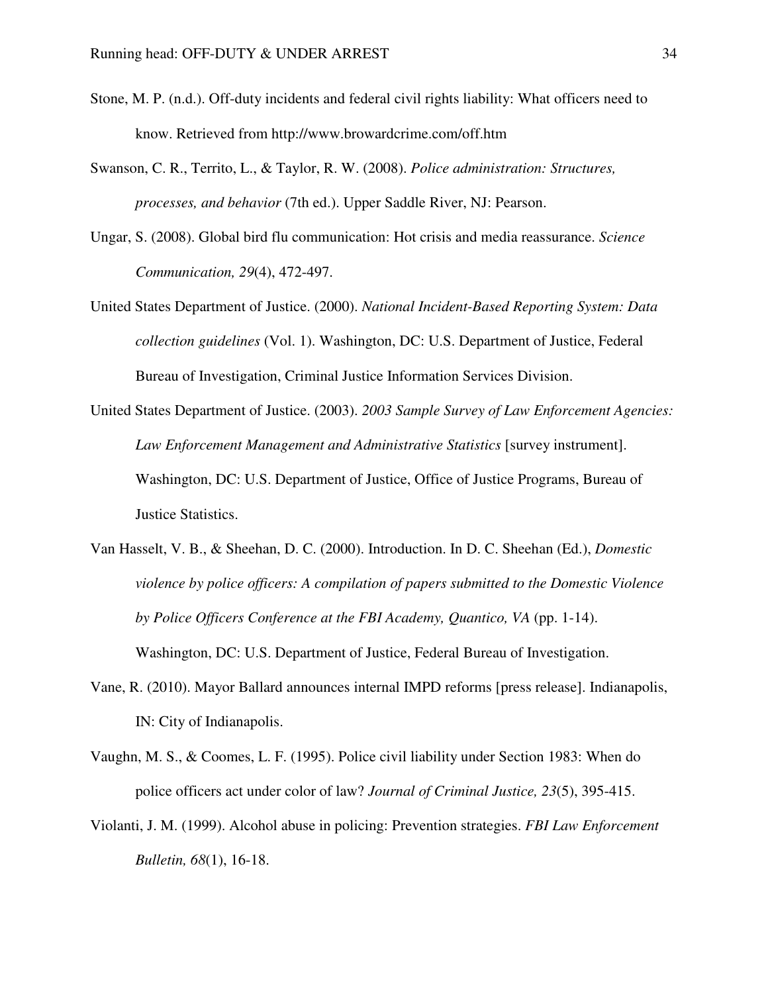- Stone, M. P. (n.d.). Off-duty incidents and federal civil rights liability: What officers need to know. Retrieved from http://www.browardcrime.com/off.htm
- Swanson, C. R., Territo, L., & Taylor, R. W. (2008). *Police administration: Structures, processes, and behavior* (7th ed.). Upper Saddle River, NJ: Pearson.
- Ungar, S. (2008). Global bird flu communication: Hot crisis and media reassurance. *Science Communication, 29*(4), 472-497.
- United States Department of Justice. (2000). *National Incident-Based Reporting System: Data collection guidelines* (Vol. 1). Washington, DC: U.S. Department of Justice, Federal Bureau of Investigation, Criminal Justice Information Services Division.
- United States Department of Justice. (2003). *2003 Sample Survey of Law Enforcement Agencies: Law Enforcement Management and Administrative Statistics* [survey instrument]. Washington, DC: U.S. Department of Justice, Office of Justice Programs, Bureau of Justice Statistics.
- Van Hasselt, V. B., & Sheehan, D. C. (2000). Introduction. In D. C. Sheehan (Ed.), *Domestic violence by police officers: A compilation of papers submitted to the Domestic Violence by Police Officers Conference at the FBI Academy, Quantico, VA* (pp. 1-14). Washington, DC: U.S. Department of Justice, Federal Bureau of Investigation.
- Vane, R. (2010). Mayor Ballard announces internal IMPD reforms [press release]. Indianapolis, IN: City of Indianapolis.
- Vaughn, M. S., & Coomes, L. F. (1995). Police civil liability under Section 1983: When do police officers act under color of law? *Journal of Criminal Justice, 23*(5), 395-415.
- Violanti, J. M. (1999). Alcohol abuse in policing: Prevention strategies. *FBI Law Enforcement Bulletin, 68*(1), 16-18.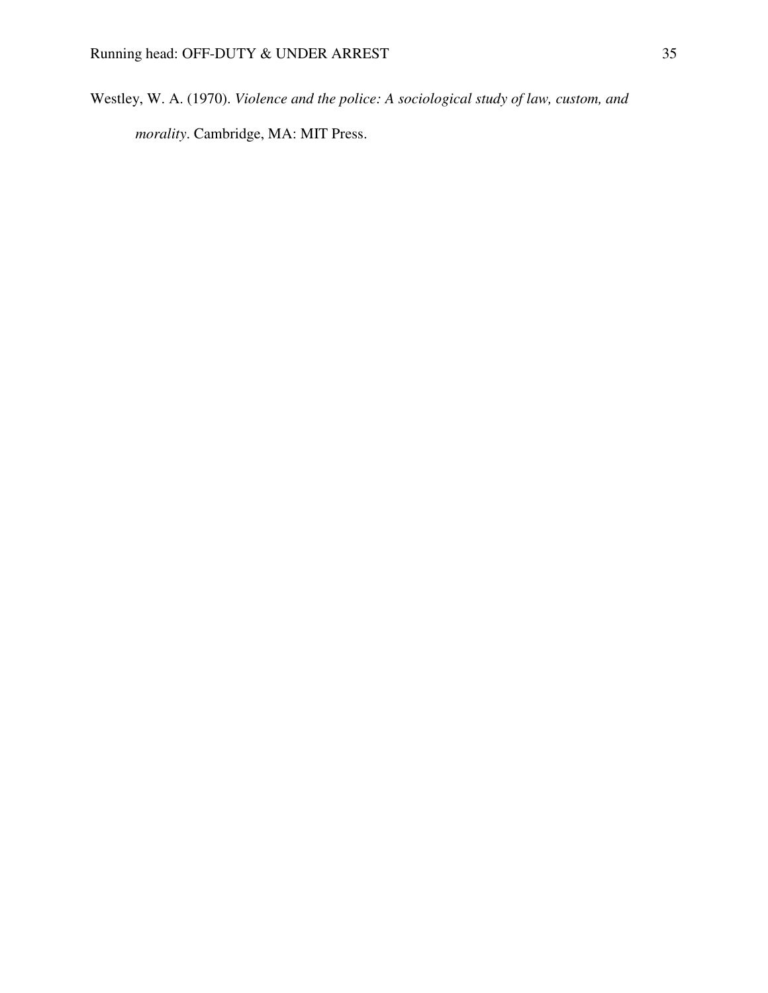Westley, W. A. (1970). *Violence and the police: A sociological study of law, custom, and morality*. Cambridge, MA: MIT Press.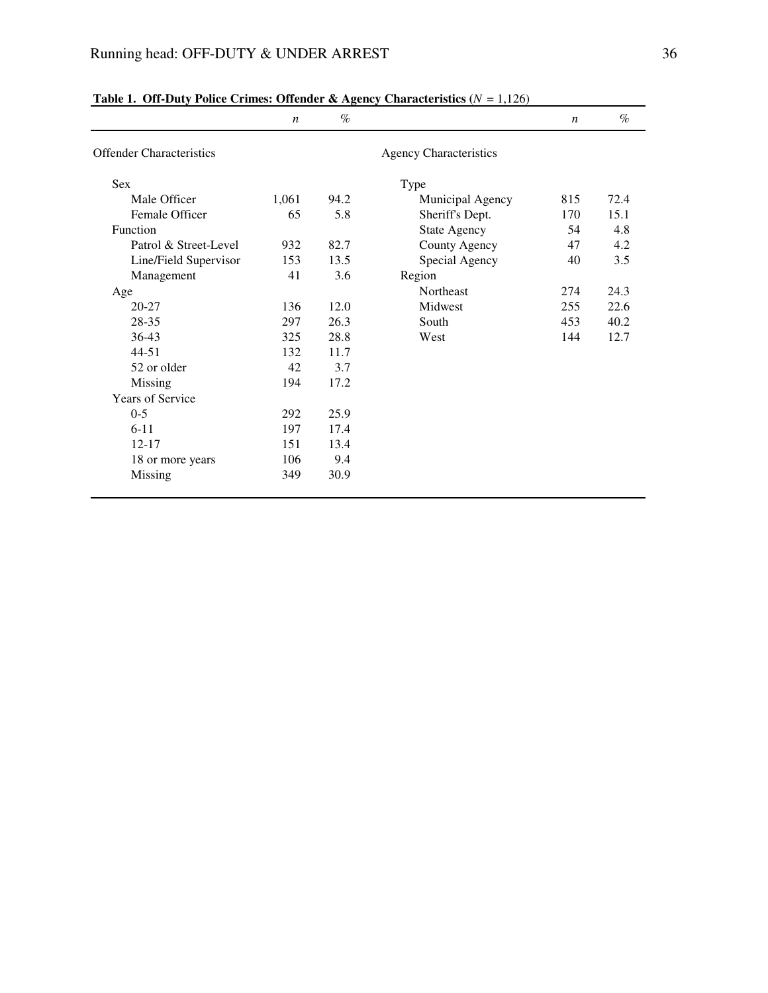|                                 | $\boldsymbol{n}$ | $\%$ |                               | $\boldsymbol{n}$ | $\%$ |
|---------------------------------|------------------|------|-------------------------------|------------------|------|
| <b>Offender Characteristics</b> |                  |      | <b>Agency Characteristics</b> |                  |      |
| <b>Sex</b>                      |                  |      | Type                          |                  |      |
| Male Officer                    | 1,061            | 94.2 | Municipal Agency              | 815              | 72.4 |
| Female Officer                  | 65               | 5.8  | Sheriff's Dept.               | 170              | 15.1 |
| Function                        |                  |      | <b>State Agency</b>           | 54               | 4.8  |
| Patrol & Street-Level           | 932              | 82.7 | County Agency                 | 47               | 4.2  |
| Line/Field Supervisor           | 153              | 13.5 | Special Agency                | 40               | 3.5  |
| Management                      | 41               | 3.6  | Region                        |                  |      |
| Age                             |                  |      | Northeast                     | 274              | 24.3 |
| $20 - 27$                       | 136              | 12.0 | Midwest                       | 255              | 22.6 |
| 28-35                           | 297              | 26.3 | South                         | 453              | 40.2 |
| $36-43$                         | 325              | 28.8 | West                          | 144              | 12.7 |
| $44 - 51$                       | 132              | 11.7 |                               |                  |      |
| 52 or older                     | 42               | 3.7  |                               |                  |      |
| Missing                         | 194              | 17.2 |                               |                  |      |
| <b>Years of Service</b>         |                  |      |                               |                  |      |
| $0 - 5$                         | 292              | 25.9 |                               |                  |      |
| $6 - 11$                        | 197              | 17.4 |                               |                  |      |
| $12 - 17$                       | 151              | 13.4 |                               |                  |      |
| 18 or more years                | 106              | 9.4  |                               |                  |      |
| Missing                         | 349              | 30.9 |                               |                  |      |

**Table 1. Off-Duty Police Crimes: Offender & Agency Characteristics (***N* = 1,126)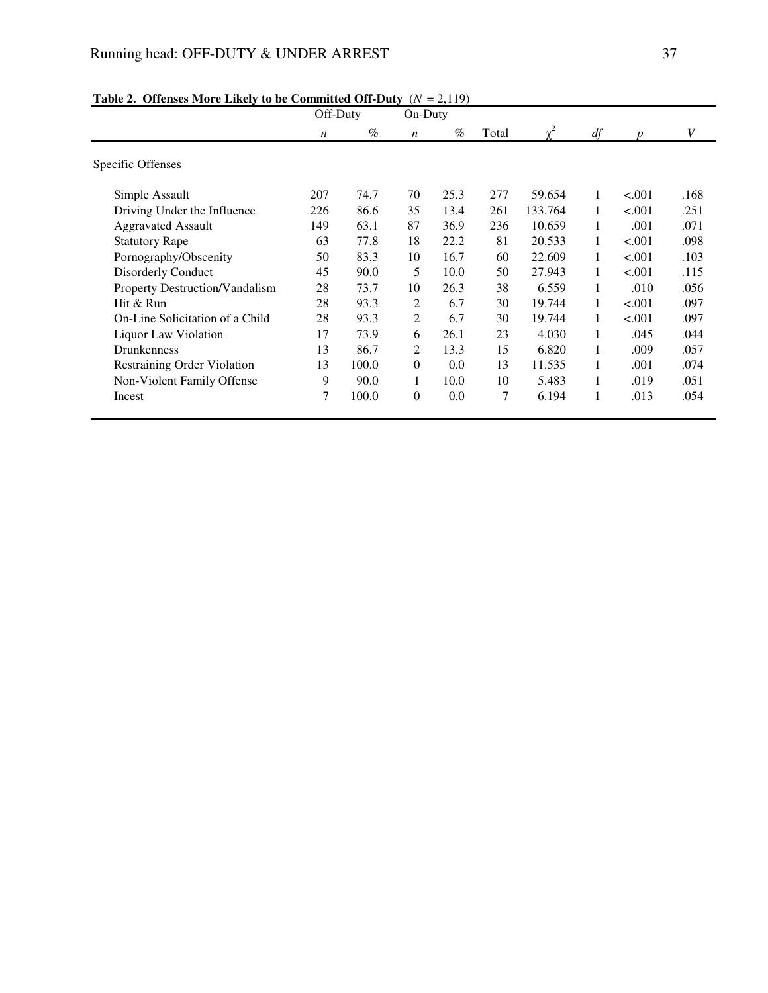# Running head: OFF-DUTY & UNDER ARREST 37

|                                       | Off-Duty         |       | On-Duty          |      |       |         |    |         |      |
|---------------------------------------|------------------|-------|------------------|------|-------|---------|----|---------|------|
|                                       | $\boldsymbol{n}$ | $\%$  | $\boldsymbol{n}$ | $\%$ | Total |         | df | n       | V    |
| Specific Offenses                     |                  |       |                  |      |       |         |    |         |      |
| Simple Assault                        | 207              | 74.7  | 70               | 25.3 | 277   | 59.654  | 1  | < 0.001 | .168 |
| Driving Under the Influence           | 226              | 86.6  | 35               | 13.4 | 261   | 133.764 | 1  | < .001  | .251 |
| <b>Aggravated Assault</b>             | 149              | 63.1  | 87               | 36.9 | 236   | 10.659  | 1  | .001    | .071 |
| <b>Statutory Rape</b>                 | 63               | 77.8  | 18               | 22.2 | 81    | 20.533  | 1  | < .001  | .098 |
| Pornography/Obscenity                 | 50               | 83.3  | 10               | 16.7 | 60    | 22.609  |    | < .001  | .103 |
| Disorderly Conduct                    | 45               | 90.0  | 5                | 10.0 | 50    | 27.943  | 1  | < .001  | .115 |
| <b>Property Destruction/Vandalism</b> | 28               | 73.7  | 10               | 26.3 | 38    | 6.559   | 1  | .010    | .056 |
| Hit & Run                             | 28               | 93.3  | 2                | 6.7  | 30    | 19.744  | 1  | < .001  | .097 |
| On-Line Solicitation of a Child       | 28               | 93.3  | 2                | 6.7  | 30    | 19.744  | 1  | < .001  | .097 |
| Liquor Law Violation                  | 17               | 73.9  | 6                | 26.1 | 23    | 4.030   | 1  | .045    | .044 |
| <b>Drunkenness</b>                    | 13               | 86.7  | 2                | 13.3 | 15    | 6.820   |    | .009    | .057 |
| Restraining Order Violation           | 13               | 100.0 | $\Omega$         | 0.0  | 13    | 11.535  | 1  | .001    | .074 |
| Non-Violent Family Offense            | 9                | 90.0  | 1                | 10.0 | 10    | 5.483   | 1  | .019    | .051 |
| Incest                                | 7                | 100.0 | $\overline{0}$   | 0.0  | 7     | 6.194   |    | .013    | .054 |

## **Table 2. Offenses More Likely to be Committed Off-Duty** (*N* = 2,119)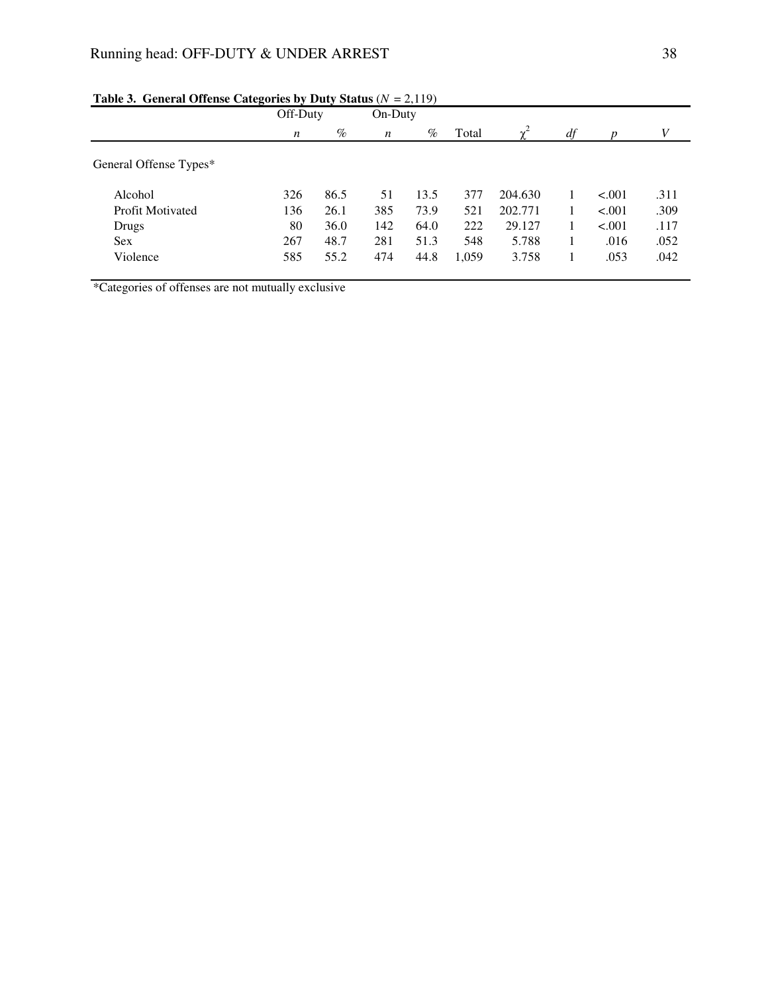|                         |                  | Off-Duty |                  | On-Duty |       |         |    |         |      |
|-------------------------|------------------|----------|------------------|---------|-------|---------|----|---------|------|
|                         | $\boldsymbol{n}$ | $\%$     | $\boldsymbol{n}$ | $\%$    | Total | $v^2$   | df |         | V    |
| General Offense Types*  |                  |          |                  |         |       |         |    |         |      |
| Alcohol                 | 326              | 86.5     | 51               | 13.5    | 377   | 204.630 |    | < .001  | .311 |
| <b>Profit Motivated</b> | 136              | 26.1     | 385              | 73.9    | 521   | 202.771 |    | < 0.001 | .309 |
| Drugs                   | 80               | 36.0     | 142              | 64.0    | 222   | 29.127  |    | < .001  | .117 |
| <b>Sex</b>              | 267              | 48.7     | 281              | 51.3    | 548   | 5.788   |    | .016    | .052 |
| Violence                | 585              | 55.2     | 474              | 44.8    | 1,059 | 3.758   |    | .053    | .042 |
|                         |                  |          |                  |         |       |         |    |         |      |

## **Table 3. General Offense Categories by Duty Status**  $(N = 2,119)$

\*Categories of offenses are not mutually exclusive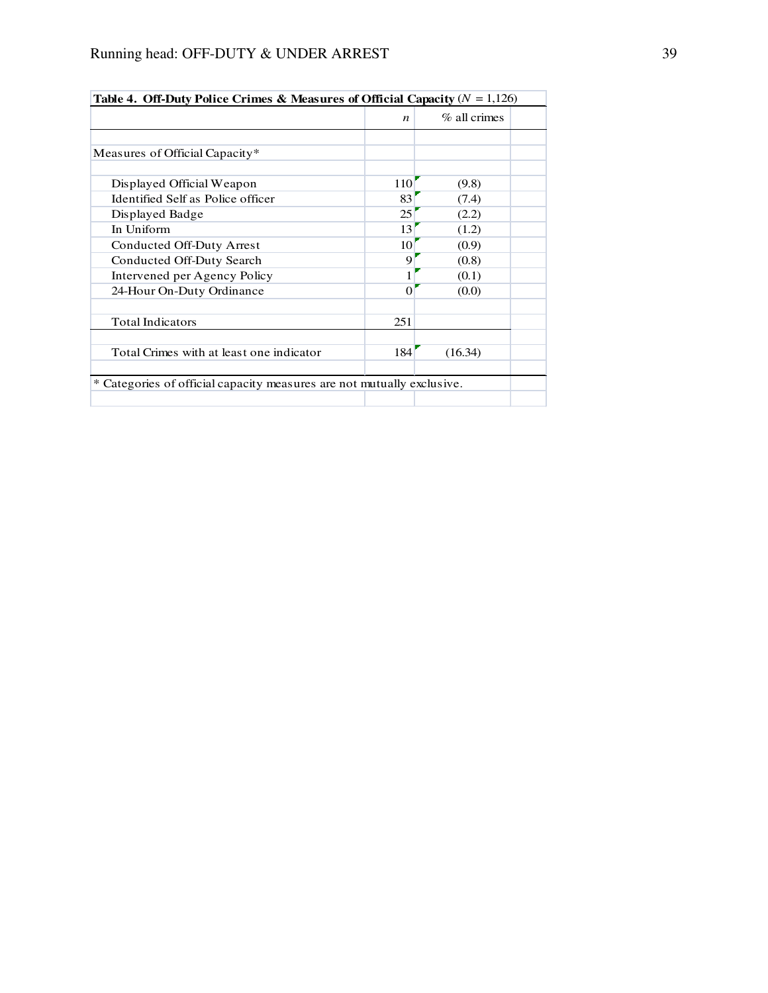| <b>Table 4. Off-Duty Police Crimes &amp; Measures of Official Capacity</b> $(Y = 1,120)$ |                  |                 |  |
|------------------------------------------------------------------------------------------|------------------|-----------------|--|
|                                                                                          | n                | $\%$ all crimes |  |
|                                                                                          |                  |                 |  |
| Measures of Official Capacity*                                                           |                  |                 |  |
| Displayed Official Weapon                                                                | 110              | (9.8)           |  |
| Identified Self as Police officer                                                        | 83               | (7.4)           |  |
| Displayed Badge                                                                          | 25               | (2.2)           |  |
| In Uniform                                                                               | 13               | (1.2)           |  |
| Conducted Off-Duty Arrest                                                                | 10               | (0.9)           |  |
| Conducted Off-Duty Search                                                                | 9                | (0.8)           |  |
| Intervened per Agency Policy                                                             | 1                | (0.1)           |  |
| 24-Hour On-Duty Ordinance                                                                | 0                | (0.0)           |  |
| <b>Total Indicators</b>                                                                  | 251              |                 |  |
| Total Crimes with at least one indicator                                                 | 184 <sup>'</sup> | (16.34)         |  |
| * Categories of official capacity measures are not mutually exclusive.                   |                  |                 |  |
|                                                                                          |                  |                 |  |

**Table 4. Off-Duty Police Crimes & Measures of Official Capacity**  $(N = 1, 126)$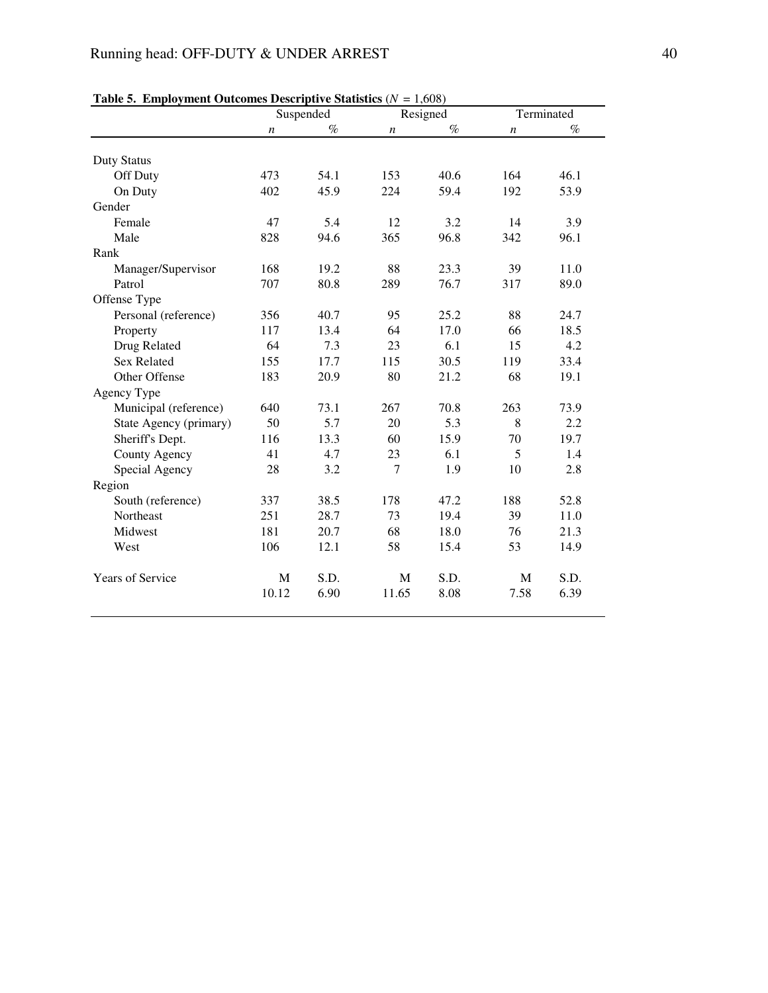|                        |                  | Suspended |                  | Resigned | Terminated       |      |  |
|------------------------|------------------|-----------|------------------|----------|------------------|------|--|
|                        | $\boldsymbol{n}$ | $\%$      | $\boldsymbol{n}$ | $\%$     | $\boldsymbol{n}$ | $\%$ |  |
| <b>Duty Status</b>     |                  |           |                  |          |                  |      |  |
| Off Duty               | 473              | 54.1      | 153              | 40.6     | 164              | 46.1 |  |
| On Duty                | 402              | 45.9      | 224              | 59.4     | 192              | 53.9 |  |
| Gender                 |                  |           |                  |          |                  |      |  |
| Female                 | 47               | 5.4       | 12               | 3.2      | 14               | 3.9  |  |
| Male                   | 828              | 94.6      | 365              | 96.8     | 342              | 96.1 |  |
| Rank                   |                  |           |                  |          |                  |      |  |
| Manager/Supervisor     | 168              | 19.2      | 88               | 23.3     | 39               | 11.0 |  |
| Patrol                 | 707              | 80.8      | 289              | 76.7     | 317              | 89.0 |  |
| Offense Type           |                  |           |                  |          |                  |      |  |
| Personal (reference)   | 356              | 40.7      | 95               | 25.2     | 88               | 24.7 |  |
| Property               | 117              | 13.4      | 64               | 17.0     | 66               | 18.5 |  |
| Drug Related           | 64               | 7.3       | 23               | 6.1      | 15               | 4.2  |  |
| <b>Sex Related</b>     | 155              | 17.7      | 115              | 30.5     | 119              | 33.4 |  |
| Other Offense          | 183              | 20.9      | 80               | 21.2     | 68               | 19.1 |  |
| Agency Type            |                  |           |                  |          |                  |      |  |
| Municipal (reference)  | 640              | 73.1      | 267              | 70.8     | 263              | 73.9 |  |
| State Agency (primary) | 50               | 5.7       | 20               | 5.3      | 8                | 2.2  |  |
| Sheriff's Dept.        | 116              | 13.3      | 60               | 15.9     | 70               | 19.7 |  |
| County Agency          | 41               | 4.7       | 23               | 6.1      | 5                | 1.4  |  |
| Special Agency         | 28               | 3.2       | $\overline{7}$   | 1.9      | 10               | 2.8  |  |
| Region                 |                  |           |                  |          |                  |      |  |
| South (reference)      | 337              | 38.5      | 178              | 47.2     | 188              | 52.8 |  |
| Northeast              | 251              | 28.7      | 73               | 19.4     | 39               | 11.0 |  |
| Midwest                | 181              | 20.7      | 68               | 18.0     | 76               | 21.3 |  |
| West                   | 106              | 12.1      | 58               | 15.4     | 53               | 14.9 |  |
| Years of Service       | M                | S.D.      | M                | S.D.     | M                | S.D. |  |
|                        | 10.12            | 6.90      | 11.65            | 8.08     | 7.58             | 6.39 |  |

|  | Table 5. Employment Outcomes Descriptive Statistics ( $N = 1,608$ ) |  |  |  |  |
|--|---------------------------------------------------------------------|--|--|--|--|
|--|---------------------------------------------------------------------|--|--|--|--|